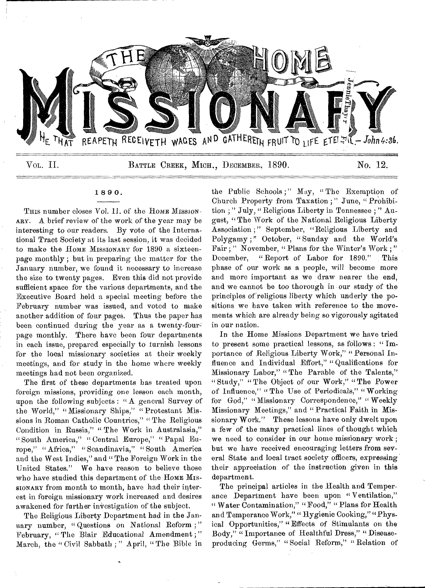

1 8 9 0 .

THIS number closes Vol. 11. of the HOME MISSION-ARY. A brief review of the work of the year may be interesting to our readers. By vote of the International Tract Society at its last session, it was decided to make the Home Missionary for 1890 a sixteenpage monthly ; but in preparing the matter for the January number, we found it necessary to increase the size to twenty pages. Even this did not provide sufficient space for the various departments, and the Executive Board held a special meeting before the February number was issued, and voted to make another addition of four pages. Thus the paper has been continued during the year as a twenty-fourpage monthly. There have been four departments in each issue, prepared especially to furnish lessons for the local missionary societies at their weekly meetings, and for study in the home where weekly meetings had not been organized.

The first of these departments has treated upon foreign missions, providing one lesson each month, upon the following subjects : "A general Survey of the World," "Missionary Ships," "Protestant Missions in Roman Catholic Countries," " The Religious Condition in Russia," " The Work in Australasia," " South America," " Central Europe," " Papal Europe," " Africa," " Scandinavia," " South America and the West Indies," and " The Foreign Work in the United States." We have reason to believe those who have studied this department of the HOME MIS-SIONARY from month to month, have had their interest in foreign missionary work increased and desires awakened for further investigation of the subject.

The Religious Liberty Department had in the January number, " Questions on National Reform ; " February, "The Blair Educational Amendment;" March, the " Civil Sabbath ; " April, " The Bible in

the Public Schools;" May, "The Exemption of Church Property from Taxation ; " June, " Prohibition ; " July, "Religious Liberty in Tennessee ; " August, " The Work of the National Religious Liberty Association ;" September, "Religious Liberty and Polygamy ;" October, "Sunday and the World's Fair ; " November, " Plans for the Winter's Work ; " December, "Report of Labor for 1890." This phase of our work as a people, will become more and more important as we draw nearer the end, and we cannot be too thorough in our study of the principles of religious liberty which underly the positions we have taken with reference to the movements which are already being so vigorously agitated in our nation.

In the Home Missions Department we have tried to present some practical lessons, as follows : " Importance of Religious Liberty Work," "Personal Influence and Individual Effort," "Qualifications for Missionary Labor," " The Parable of the Talents," " Study," " The Object of our Work," " The Power of Influence," "The Use of Periodicals," "Working for God," "Missionary Correspondence," "Weekly Missionary Meetings," and " Practical Faith in Missionary Work." These lessons have only dwelt upon a few of the many practical lines of thought which we need to consider in our home missionary work ; but we have received encouraging letters from several State and local tract society officers, expressing their appreciation of the instruction given in this department.

The principal articles in the Health and Temperance Department have been upon "Ventilation," " Water Contamination," "Food," "Plans for Health and Temperance Work," "Hygienic Cooking," "Physical Opportunities," " Effects of Stimulants on the Body," " Importance of Healthful Dress," " Diseaseproducing Germs," " Social Reform," " Relation of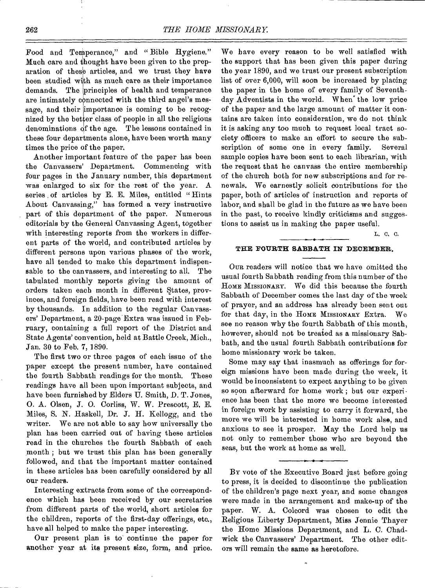Food and Temperance," and "Bible Hygiene." Much care and thought have been given to the preparation of these articles, and we trust they have been studied with as much care as their importance demands. The principles of health and temperance are intimately connected with the third angel's message, and their importance is coming to be recognized by the better class of people in all the religious denominations of the age. The lessons contained in these four departments alone, have been worth many times the price of the paper.

Another important feature of the paper has been the Canvassers' Department. Commencing with four pages in the January number, this department was enlarged to six for the rest of the year. A series of articles by E. E. Miles, entitled "Hints About Canvassing," has formed a very instructive part of this department of the paper. Numerous editorials by the General Canvassing Agent, together with interesting reports from the workers in different parts of the world, and contributed articles by different persons upon various phases of the work, have all tended to make this department indispensable to the canvassers, and interesting to all. The tabulated monthly reports giving the amount of orders taken each month in different States, provinces, and foreign fields, have been read with interest by thousands. In addition to the regular Canvassers' Department, a 20-page Extra was issued in February, containing a full report of the District and State Agents' convention, held at Battle Creek, Mich., Jan. 30 to Feb. 7, 1890.

The first two or three pages of each issue of the paper except the present number, have contained the fourth Sabbath readings for the month. These readings have all been upon important subjects, and have been furnished by Elders U. Smith, D. T. Jones, 0. A. Olsen, *J.* 0. Corliss, W. W. Prescott, E. E. Miles, S. N. Haskell, Dr. J. H. Kellogg, and the writer. We are not able to say how universally the plan has been carried out of having these articles read in the churches the fourth Sabbath of each month ; but we trust this plan has been generally followed, and that the important matter contained in these articles has been carefully considered by all our readers.

Interesting extracts from some of the correspondence which has been received by our secretaries from different parts of the world, short articles for the children, reports of the first-day offerings, etc., have all helped to make the paper interesting.

Our present plan is to continue the paper for another year at its present size, form, and price. We have every reason to be well satisfied with the support that has been given this paper during the year 1890, and we trust our present subscription list of over 6,000, will soon be increased by placing the paper in the home of every family of Seventhday Adventists in the world. When' the low price of the paper and the large amount of matter it contains are taken into consideration, we do not think it is asking any too much to request local tract society officers to make an effort to secure the subscription of some one in every family. Several sample copies have been sent to each librarian, with the request that he canvass the entire membership of the church both for new subscriptions and for renewals. We earnestly solicit contributions for the paper, both of articles of instruction and reports of labor, and shall be glad in the future as we have been in the past, to receive kindly criticisms and suggestions to assist us in making the paper useful.

L. C. C.

#### **THE FOURTH SABBATH IN DECEMBER.**

Our readers will notice that we have omitted the usual fourth Sabbath reading from this number of the HOME MISSIONARY. We did this because the fourth Sabbath of December comes the last day of the week of prayer, and an address has already been sent out for that day, in the Home MissionARY Extra. We see no reason why the fourth Sabbath of this month, however, should not be treated as a missionary Sabbath, and the usual fourth Sabbath contributions for home missionary work be taken.

Some may say that inasmuch as offerings for foreign missions have been made during the week, it would be inconsistent to expect anything to be given so soon afterward for home work; but our experience has been that the more we become interested in foreign work by assisting to carry it forward, the more we will be interested in home work also, and anxious to see it prosper. May the Lord help us not only to remember those who are beyond the seas, but the work at home as well.

BY vote of the Executive Board just before going to press, it is decided to discontinue the publication of the children's page next year, and some changes were made in the arrangement and make-up of the paper. W. A. Colcord was chosen to edit the Religious Liberty Department, Miss Jennie Thayer the Home Missions Department, and L. C. Chadwick the Canvassers' Department. The other editors will remain the same as heretofore.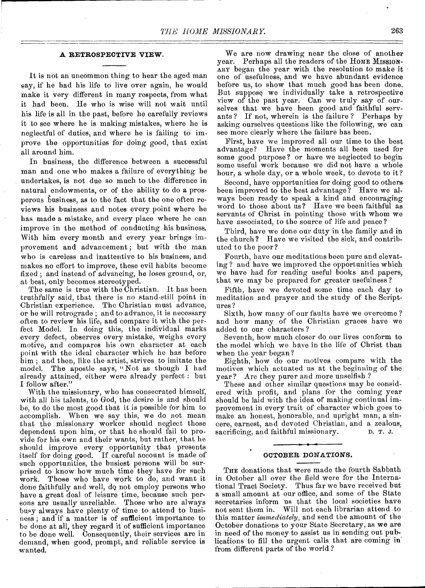#### **A RETROSPECTIVE VIEW.**

It is not an uncommon thing to hear the aged man say, if he had his life to live over again, he would make it very different in many respects, from what it had been. He who is wise will not wait until his life is all in the past, before he carefully reviews it to see where he is making mistakes, where he is neglectful of duties, and where he is failing to improve the opportunities for doing good, that exist all around him.

In business, the difference between a successful man and one who makes a failure of everything he undertakes, is not due so much to the difference in natural endowments, or of the ability to do a prosperous business, as to the fact that the one often reviews his business and notes every point where he has made a mistake, and every place where he can improve in the method of conducting his business. With him every month and every year brings improvement and advancement ; but with the man who is careless and inattentive to his business, and makes no effort to improve, these evil habits become fixed ; and instead of advancing, he loses ground, or, at best, only becomes stereotyped.

The same is true with the Christian. It has been truthfully said, that there is no stand-still point in Christian experience. The Christian must advance, or he will retrograde ; and to advance, it is necessary often to review his life, and compare it with the perfect Model. In doing this, the individual marks every defect, observes every mistake, weighs every motive, and compares his own character at each point with the ideal character which he has before him ; and then, like the artist, strives to imitate the model. The apostle says, "Not as though I had already attained, either were already perfect : but I follow after."

With the missionary, who has consecrated himself, with all his talents, to God, the desire is and should be, to do the most good that it is possible for him to accomplish. When we say this, we do not mean that the missionary worker should neglect those dependent upon him, or that he should fail to provide for his own and their wants, but rather, that he should improve every opportunity that presents itself for doing good. If careful account is made of such opportunities, the busiest persons will be surprised to know how much time they have for such work. Those who have work to do, and want it done faithfully and well, de not employ persons who have a great deal of leisure time, because such persons are usually unreliable. Those who are always busy always have plenty of time to attend to business ; and if a matter is of sufficient importance to be done at all, they regard it of sufficient importance to be done well. Consequently, their services are in demand, when good, prompt, and reliable service is wanted.

We are now drawing near the close of another year. Perhaps all the readers of the HOME MISSION-ARY began the year with the resolution to make it one of usefulness, and we have abundant evidence before us, to show that much good has been done. But suppose we individually take a retrospective view of the past year. Can we truly say of ourselves that we have been good and faithful servants ? If not, wherein is the failure ? Perhaps by asking ourselves questions like the following, we can see more clearly where the failure has been.

First, have we improved all our time to the best advantage? Have the moments all been used for some good purpose? or have we neglected to begin some useful work because we did not have a whole hour, a whole day, or a whole week, to devote to it ?

Second, have opportunities for doing good to othersbeen improved to the best advantage? Have we always been ready to speak a kind and encouraging word to those about us ? Have we been faithful as servants of Christ in pointing those with whom we have associated, to the source of life and peace?

Third, have we done our duty in the family and in the church ? Have we visited the sick, and contributed to the poor?

Fourth, have our meditations been pure and elevating ? and have we improved the opportunities which we have had for reading useful books and papers, that we may be prepared for greater usefulness ?

Fifth, have we devoted some time each day to meditation and prayer and the study of the Scriptures ?

Sixth, how many of our faults have we overcome ? and how many of the Christian graces have we added to our characters?

Seventh, how much closer do our lives conform to the model which we have in the life of Christ than when the year began?

Eighth, how do our motives compare with the motives which actuated us at the beginning of the year? Are they purer and more unselfish ?

These and other similar questions may be considered with profit, and plans for the coming year should be laid with the idea of making continual improvement in every trait of character which goes to make an honest, honorable, and upright man, a sincere, earnest, and devoted Christian, and a zealous, sacrificing, and faithful missionary.

#### **OCTOBER DONATIONS.**

THE donations that were made the fourth Sabbath in October all over the field were for the International Tract Society. Thus far we have received but a small amount at our office, and some of the State secretaries inform us that the local societies have not sent them in. Will not each librarian attend to this matter *immediately,* and send the amount of the October donations to your State Secretary, as we are in need of the money to assist us in sending out publications to fill the urgent calls that are coming in' from different parts of the world ?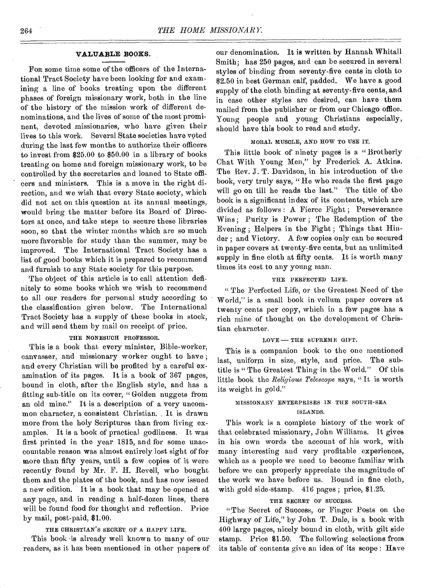#### **VALUABLE BOOKS.**

Fon some time some of the officers of the International Tract Society have been looking for and examining a line of books treating upon the different phases of foreign missionary work, both in the line of the history of the mission work of different denominations, and the lives of some of the most prominent, devoted missionaries, who have given their lives to this work. Several State societies have voted during the last few months to authorize their officers to invest from \$25.00 to \$50.00 in a library of books treating on home and foreign missionary work, to be controlled by the secretaries and loaned to State officers and ministers. This is a move in the right direction, and we wish that every State society, which did not act on this question at its annual meetings, would bring the matter before its Board of Directors at once, and take steps to secure these libraries soon, so that the winter months which are so much more favorable for study than the summer, may be improved. The International Tract Society has a list of good books which it is prepared to recommend and furnish to any State society for this purpose.

The object of this article is to call attention definitely to some books which we wish to recommend to all our readers for personal study according to the classification given below. The International Tract Society has a supply of these books in stock, and will send them by mail on receipt of price.

#### THE NONESUCH PROFESSOR.

This is a book that every minister, Bible-worker, canvasser, and missionary worker ought to have ; and every Christian will be profited by a careful examination of its pages. It is a book of 367 pages, bound in cloth, after the English style, and has a fitting sub-title on its cover, " Golden nuggets from an old mine." It is a description of a very uncommon character, a consistent Christian.. It is drawn more from the holy Scriptures than from living examples. It is a book of practical godliness. It was first printed in the year 1815, and for some unaccountable reason was almost entirely lost sight of for more than fifty years, until a few copies of it were recently found by Mr. F. H. Revell, who bought them and the plates of the book, and has now issued a new edition. It is a book that may be opened at any page, and in reading a half-dozen lines, there will be found food for thought and reflection. Price by mail, post-paid, \$1.00.

#### THE CHRISTIAN'S SECRET OF A HAPPY LIFE.

This book is already well known to many of our readers, as it has been mentioned in other papers of

our denomination. It is written by Hannah Whitall Smith; has 250 pages, and can be secured in several styles of binding from seventy-five cents in cloth to \$2.50 in best German calf, padded. We have a good supply of the cloth binding at seventy-five cents, and in case other styles are desired, can have them mailed from the publisher or from our Chicago office. Young people and young Christians especially, should have this book to read and study.

#### MORAL MUSCLE, AND HOW TO USE IT.

This little book of ninety pages is a "Brotherly Chat With Young Men," by Frederick A. Atkins. The Rev. J. T. Davidson, in his introduction of the book, very truly says, "He who reads the first page will go on till he reads the last." The title of the book is a significant index of its contents, which are divided as follows : A Fierce Fight ; Perseverance Wins; Purity is Power; The Redemption of the Evening ; Helpers in the Fight ; Things that Hinder ; and Victory. A few copies only can be secured in paper covers at twenty-five cents, but an unlimited supply in fine cloth at fifty cents. It is worth many times its cost to any young man.

#### THE PERFECTED LIFE.

" The Perfected Life, or the Greatest Need of the World," is a small book in vellum paper covers at twenty cents per copy, which in a few pages has a rich mine of thought on the development of Christian character.

#### $LOVE$  - THE SUPREME GIFT.

This is a companion book to the one mentioned last, uniform in size, style, and price. The subtitle is " The Greatest Thing in the World." Of this little book the *Religious Telescope* says, " It is worth its weight in gold."

#### MISSIONARY ENTERPRISES IN THE SOUTH-SEA ISLANDS.

This work is a complete history of the work of that celebrated missionary, John Williams. It gives in his own words the account of his work, with many interesting and very profitable experiences, which as a people we need to become familiar with before we can properly appreciate the magnitude of the work we have before us. Bound in fine cloth, with gold side-stamp. 416 pages ; price, \$1.25.

#### THE SECRET OF SUCCESS.

"The Secret of Success, or Finger Posts on the Highway of Life," by John T. Dale, is a book with 400 large pages, nicely bound in cloth, with gilt side stamp. Price \$1.50. The following selections from its table of contents give an idea of its scope : Have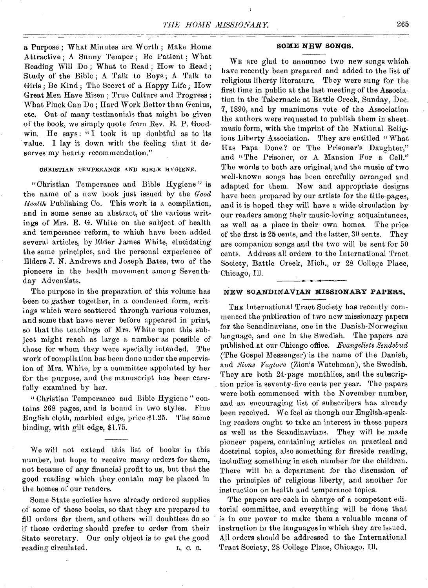a Purpose ; What Minutes are Worth ; Make Home Attractive ; A Sunny Temper ; Be Patient ; What Reading Will Do ; What to Read ; How to Read ; Study of the Bible; A Talk to Boys; A Talk to Girls ; Be Kind ; The Secret of a Happy Life ; How Great Men Have Risen ; True Culture and Progress ; What Pluck Can Do ; Hard Work Bettor than Genius, etc. Out of many testimonials that might be given of the book, we simply quote from Rev. E. P. Goodwin. He says: "I took it up doubtful as to its value. I lay it down with the feeling that it deserves my hearty recommendation."

#### CHRISTIAN TEMPERANCE AND BIBLE HYGIENE.

"Christian Temperance and Bible Hygiene " is the name of a new book just issued by the *Good Health* Publishing Co. This work is a compilation, and in some sense an abstract, of the various writings of Mrs. E. G. White on the subject of health and temperance reform, to which have been added several articles, *by* Elder James White, elucidating the same principles, and the personal experience of Elders S. N. Andrews and Joseph Bates, two of the pioneers in the health movement among Seventhday Adventists.

The purpose in the preparation of this volume has been to gather together, in a condensed form, writings which were scattered through various volumes, and some that have never before appeared in print, so that the teachings of Mrs. White upon this subject might reach as large a number as possible of those for whom they were specially intended. The work of compilation has been done under the supervision of Mrs. White, by a committee appointed by her for the purpose, and the manuscript has been carefully examined by her.

" Christian Temperance and Bible Hygiene " contains 268 pages, and is bound in two styles. Fine English cloth, marbled edge, price \$1.25. The same binding, with gilt edge, \$1.75.

We will not extend this list of books in this number, but hope to receive many orders for them, not because of any financial profit to us, but that the good reading which they contain may be placed in the homes of our readers.

Some State societies have already ordered supplies of some of these books, so that they are prepared to fill orders for them, and others will doubtless do so if those ordering should prefer to order from their State secretary. Our only object is to get the good reading circulated. L. C. C.

#### **SOME NEW SONGS.**

WE are glad to announce two new songs which have recently been prepared and added to the list of religious liberty literature. They were sung for the first time in public at the last meeting of the Association in the Tabernacle at Battle Creek, Sunday, Dec. 7, 1890, and by unanimous vote of the Association the authors were requested to publish them in sheetmusic form, with the imprint of the National Religious Liberty Association. They are entitled "What Has Papa Done? or The Prisoner's Daughter," and "The Prisoner, or A Mansion For a Cell." The words to both are original, and the music of two well-known songs has been carefully arranged and adapted for them. New and appropriate designs have been prepared by our artists for the title-pages, and it is hoped they will have a wide circulation by our readers among their music-loving acquaintances, as well as a place in their own homes. The price of the first is 25 cents, and the latter, 30 cents. They are companion songs and the two will be sent for 50 cents. Address all orders to the International Tract Society, Battle Creek, Mich., or 28 College Place, Chicago, Ill.

#### **NEW SCANDINAVIAN MISSIONARY PAPERS.**

THE International Tract Society has recently commenced the publication of two new missionary papers for the Scandinavians, one in the Danish-Norwegian language, and one in the Swedish. The papers are published at our Chicago office. *Evangeliets Sendebud*  (The Gospel Messenger) is the name of the Danish, and *Sions Vagtare* (Zion's Watchman), the Swedish. They are both 24-page monthlies, and the subscription price is seventy-five cents per year. The papers were both commenced with the November number, and an encouraging list of subscribers has already been received. We feel as though our English-speaking readers ought to take an interest in these papers as well as the Scandinavians. They will be made pioneer papers, containing articles on practical and doctrinal topics, also something for fireside reading, including something in each number for the children. There will be a department for the discussion of the principles of religious liberty, and another for instruction on health and temperance topics.

The papers are each in charge of a competent editorial committee, and everything will be done that is in our power to make them a valuable means of instruction in the languages in which they are issued. All orders should be addressed to the International Tract Society, 28 College Place, Chicago, Ill.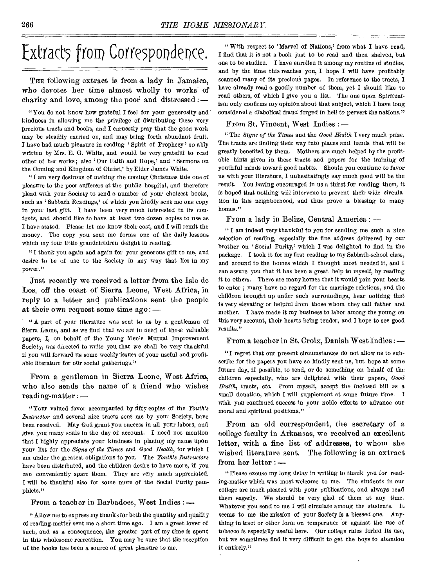# Extracts from Correspondence.

THE following extract is from a lady in Jamaica, who devotes her time almost wholly to works of charity and love, among the poor and distressed :—

" You do not know how grateful I feel for your generosity and kindness in allowing me the privilege of distributing these very precious tracts and books, and I earnestly pray that the good work may be steadily carried on, and may bring forth abundant fruit. I have had much pleasure in reading 'Spirit of Prophecy' so ably written by Mrs. E. G. White, and would be very grateful to read other of her works; also 'Our Faith and Hope,' and 'Sermons on the Coming and Kingdom of Christ,' by Elder James White.

" I am very desirous of making the coming Christmas tide one of pleasure to the poor sufferers at the public hospital, and therefore plead with your Society to send a number of your choicest books, such as ' Sabbath Readings,' of which you kindly sent *me one* copy in your last gift. I have been very much interested in its contents, and should like to have at least two dozen copies to use as I have stated. Please let me know their cost, and I will remit the money. The copy you sent me forms one of the daily lessons which my four little grandchildren delight in reading.

"I thank you again and again for your generous gift to me, and desire to be of use to the Society in any way that lies in my power."

Just recently we received a letter from the Isle de Los, off the coast of Sierra Leone, West Africa, in reply to a letter and publications sent the people at their own request some time ago: —

"A part of your literature was sent to us by a gentleman of Sierra Leone, and as we find that we are in need of these valuable papers, I, on behalf of the Young Men's Mutual Improvement Society, was directed to write you that we shall be very thankful if you will forward us some weekly-issues of your useful and profitable literature for our social gatherings."

From a gentleman in Sierra Leone, West Africa, who also sends the name of a friend who wishes reading-matter : —

"Your valued favor accompanied by fifty copies of the *Youth's Instructor* and several nice tracts sent me by your Society, have been received. May God grant you success in all your labors, and give you many souls in the day of account. I need not mention that I highly appreciate your kindness in placing my name upon your list for the *Signs of the Times* and *Good Health,* for which I am under the greatest obligations to you. The *Youth's Instructors*  have been distributed, and the children desire to have more, if you can conveniently spare them. They are very much appreciated. I will be thankful also for some more of the Social Purity pamphlets."

From a teacher in Barbadoes, West Indies : -

" Allow me to express my thanks for both the quantity and quality of reading-matter sent me a short time ago. I am a great lover of such, and as a consequence, the greater part of my time is spent in this wholesome recreation. You may be sure that the reception of the books has been a source of great pleasure to me.

"With respect to 'Marvel of Nations,' from what I have read, I find that it is not a book just to be read and then shelved, but one to be studied. I have enrolled it among my routine of studies, and by the time this reaches you, I hope I will have profitably scanned many of its precious pages. In reference to the tracts, I have already read a goodly number of them, yet I should like to read others, of which I give you a list. The one upon Spiritualism only confirms my opinion about that subject, which I have long considered a diabolical *fraud* forged in hell to pervert the nations."

#### From St. Vincent, West Indies : —

" The *Signs of the Times* and the *Good Health* I very much prize. The tracts are finding their way into places and hands that will be greatly benefited by them. Mothers are much helped by the profitable hints given in these tracts and papers for the training of youthful minds toward good habits, Should you continue to favor us with your literature, I unhesitatingly say much good will be the result. You *having* encouraged in us a thirst for reading them, it is hoped that nothing will intervene to prevent their wide circulation in this neighborhood, and thus prove a blessing to many homes."

From a lady in Belize, Central America : —

" I am indeed very thankful to you for sending me such a nice selection of reading, especially the fine address delivered by our brother on 'Social Purity,' which I was delighted to find in the package. I took it for my first reading to my Sabbath-school class, and around to the homes which I thought most needed it, and I can assure you that it has been a great help to myself, by reading it to others. There are many homes that it would pain your hearts to enter ; many have no regard for the marriage relations, and the children brought up under such surroundings, hear nothing that is very elevating or helpful from those whom they call father and mother. I have made it my business to labor among the young on this very account, their hearts being tender, and I hope to see good results."

From a teacher in St. Croix, Danish West Indies : —

"I regret that our present circumstances do not allow us to subscribe for the papers you have so kindly sent us, but hope at some future day, if possible, to send, or do something ou behalf of the children especially, who are delighted with their papers, *Good Health,* tracts, etc. From myself, accept the inclosed bill as a small donation, which I will supplement at some future time. I wish you continued success in your noble efforts to advance our moral and spiritual positions."

From an old correspondent, the secretary of a college faculty in Arkansas, we received an excellent letter, with a fine list of addresses, to whom she wished literature sent. The following is an extract from her letter : —

"Please excuse my long delay in writing to thank you for reading-matter which was most welcome to me. The students in our college are much pleased with your publications, and always read them eagerly. We should be very glad of them at any time. Whatever you send to me I will circulate among the students. It seems to me the mission of your Society is a blessed one. Anything in tract or other form on temperance or against the use of tobacco is especially useful here. Our college rules forbid its use, but we sometimes find it very difficult to get the boys to abandon it entirely,"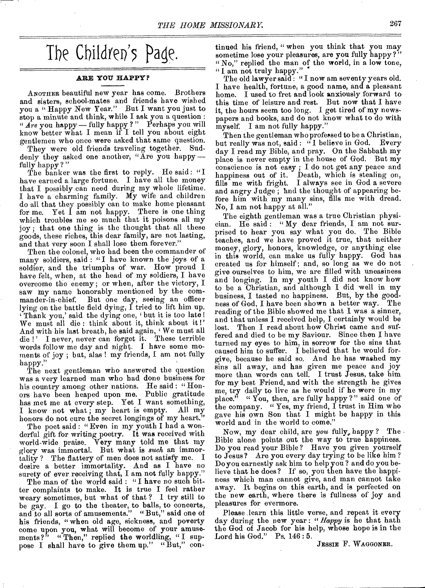## The Children's Page.

#### **ARE YOU HAPPY?**

ANOTHER beautiful new year has come. Brothers and sisters, school-mates and friends have wished you a " Happy New Year." But I want you just to stop a minute and think, while I ask you a question : *" Are* you happy— fully happy ? " Perhaps you will know better what I mean if I tell you about eight gentlemen who once were asked that same question.

They were old friends traveling together. Suddenly they asked one another, "Are you happyfully happy?"

The banker was the first to reply. He said: "I have earned a large fortune. I have all the money that I possibly can need during my whole lifetime. I have a charming family. My wife and children do all that they possibly can to make home pleasant for me. Yet I am not happy. There is one thing which troubles me so much that it poisons all my joy; that one thing is the thought that all these goods, these riches, this dear family, are not lasting, and that very soon I shall lose them forever."

Then the colonel, who had been the commander of many soldiers, said : "I have known the joys of a soldier, and the triumphs of war. How proud I have felt, when, at the head of my soldiers, I have overcome the enemy; or when, after the victory, I saw my name honorably mentioned by the commander-in-chief. But one day, seeing an officer lying on the battle field dying, I tried to lift him up. Thank you,' said the dying one, ' but it is too late ! We must all die : think about it, think about it I' And with his last breath, he said again, 'We must all die !' I never, never can forget it. These terrible words follow me day and night. I have some moments of joy ; but, alas ! my friends, I am not fully happy."

The next gentleman who answered the question was a very learned man who bad done business for his country among other nations. He said: "Honors have been heaped upon me. Public gratitude has met me at every step. Yet I want something,<br>I know not what: my heart is empty. All my I know not what, my heart is empty. honors do not cure the secret longings of my heart,"

The poet said: "Even in my youth I had a wonderful gift for writing poetry. It was received with world-wide praise. Very many told me that my glory was immortal. But what is *such* an immortality ? The flattery of men does not satisfy me. I desire a better immortality. And as I have no surety of ever receiving that, I am not fully happy."

The man of the world said : "I have no such bitter complaints to make. It is true I feel rather weary sometimes, but what of that ? 1 try still to be gay. I go to the theater, to balls, to concerts, and to all sorts of amusements." "But," said one of his friends, "when old age, sickness, and poverty come upon you, what will become of your amusements?" "Then," replied the worldling, "I suppose I shall have to give them up." "But," continued his friend, " when you think that you may sometime lose your pleasures, are you fully happy?" "No," replied the man of the world, in a low tone, " I am not truly happy."

The old lawyer said: "I now am seventy years old. I have health, fortune, a good name, and a pleasant home. I used to fret and look anxiously forward to this time of leisure and rest. But now that I have it, the hours seem too long. I get tired of my newspapers and books, and do not know what to do with myself. I am not fully happy."

Then the gentleman who professed to be a Christian, but really was not, said : " I believe in God. Every day I read my Bible, and pray. On the Sabbath my place is never empty in the house of God. But my conscience is not easy ; I do not get any peace and happiness out of it. Death, which is stealing on, fills me with fright. I always see in God a severe and angry Judge; and the thought of appearing before him with my many sins, fills me with dread. No, I am not happy at all."

The eighth gentleman was a true Christian physician. He said : " My dear friends, I am not surprised to hear you say what you do. The Bible teaches, and we have proved it true, that neither money, glory, honors, knowledge, or anything else in this world, can make us fully happy. God has created us for himself ; and, so long as we do not give ourselves to him, we are filled with uneasiness and longing. In my youth I did not know how to be a Christian, and although I did well in my business, I tasted no happiness. But, by the goodness of God, I have been shown a better way. The reading of the Bible showed me that I was a sinner, and that unless I received help, I certainly would be lost. Then I read about how Christ came and suffered and died to be my Saviour. Since then I have turned my eyes to him, in sorrow for the sins that caused him to suffer. I believed that he would forgive, because he said so. And he has washed my sins all away, and has given me peace and joy more than words can tell. I trust Jesus, take him for my best Friend, and with the strength he gives me, try daily to live as he would if he were in my place." " You, then, are fully happy?" said one of the company. " Yes, my friend, I trust in Him who gave his own Son that I might be happy in this world and in the world to come."

Now, my dear child, are *you* fully, happy ? The Bible alone points out the way to true happiness. Do you read your Bible ? Have you given yourself to Jesus? Are you every day trying to be like him ? Do you earnestly ask him to help you ? and do you believe that he does? If so, you then have the happiness which man cannot give, and man cannot take away. It begins on this earth, and is perfected on the new earth, where there is fullness of joy and pleasures for evermore.

Please learn this little verse, and repeat it every day during the new year : *"Happy* is he that hath the God of Jacob for his help, whose hope is in the Lord his God." Ps. 146 : 5.

JESSIE F. WAGGONER.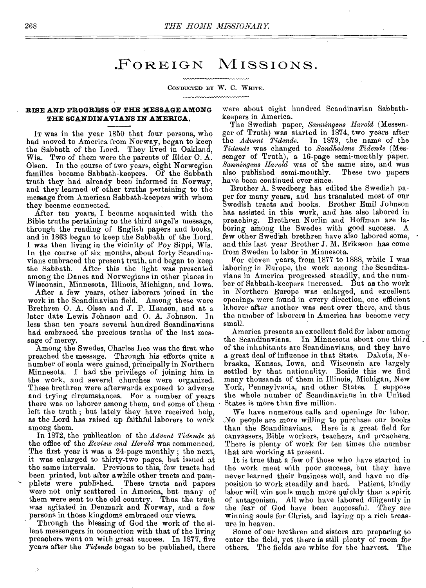## FOREIGN MISSIONS.

#### CONDUCTED BY W. C. WHITE.

#### **RISE AND PROGRESS OF THE MESSAGE AMONG THE SCANDINAVIANS IN AMERICA.**

IT was in the year 1850 that four persons, who had moved to America from Norway, began to keep the Sabbath of the Lord. They lived in Oakland, Wis.. Two of them were the parents of Elder 0. A. Olsen. In the course of two years, eight Norwegian families became Sabbath-keepers. Of the Sabbath truth they had already been informed in Norway, and they learned of other truths pertaining to the message from American Sabbath-keepers with whom they became connected.

After ten years, I became acquainted with the Bible truths pertaining to the third angel's message, through the reading of English papers and books, and in 1863 began to keep the Sabbath of the Lord. I was then living in the vicinity of Poy Sippi, Wis. In the course of six months, about forty Scandinavians embraced the present truth, and began to keep the Sabbath. After this the light was presented among the Danes and Norwegians in other places in Wisconsin, Minnesota, Illinois, Michigan, and Iowa.

After a few years, other laborers joined in the work in the Scandinavian field. Among these were Brethren O. A. Olsen and J. F. Hanson, and at a later date Lewis Johnson and 0. A. Johnson. In less than ten years several hundred Scandinavians had embraced the precious truths of the last message of mercy.

Among the Swedes, Charles Lee was the first who preached the message. Through his efforts quite a number of souls were gained, principally in Northern Minnesota. I bad the privilege of joining him in the work, and several churches were organized. These brethren were afterwards exposed to adverse and trying circumstances. For a number of years there was no laborer among them, and some of them left the truth ; but lately they have received help, as the Lord has raised up faithful laborers to work among them.

In 1872, the publication of the *Advent Tidende* at the office of the *Review and Herald* was commenced. The first year it was a 24-page monthly ; the next, it was enlarged to thirty-two pages, but issued at the same intervals. Previous to this, few tracts had been printed, but after awhile other tracts and pamphlets were published. These tracts and papers were not only scattered in America, but many of them were sent to the old country. Thus the truth was agitated in Denmark and *Norway,* and a few persons in those kingdoms embraced our views.

Through the blessing of God the work of the silent messengers in connection with that of the living preachers went on with great success. In 1877, five years after the *Tidende* began to be published, there

 $\rightarrow$ 

were about eight hundred Scandinavian Sabbathkeepers in America.

The Swedish paper, *Sanningens Harold* (Messenger of Truth) was started in 1874, two years after the *Advent Tidende.* In 1879, the name of the *Tidende* was changed to *Sandhedens Tidende* (Messenger of Truth), a 16-page semi-monthly paper. *Sanningens Harold* was of the same size, and was also published semi-monthly. These two papers have been continued ever since.

Brother A. Swedberg has edited the Swedish paper for many years, and has translated most of our Swedish tracts and books. Brother Emil Johnson has assisted in this work, and has also labored in preaching. Brethren Norlin and Hoffman are laboring among the Swedes with good success. A few other Swedish brethren have also labored some, and this last year Brother J. M. Eriksson has come from Sweden to labor in Minnesota.

For eleven years, from 1877 to 1888, while I was laboring in Europe, the work among the Scandinavians in America progressed steadily, and the number of Sabbath-keepers increased. But as the work in Northern Europe was enlarged, and excellent openings were found in every direction, one efficient laborer after another was sent over there, and thus the number of laborers in America has become very small.

America presents an excellent field for labor among In Minnesota about one-third of the inhabitants are Scandinavians, and they have a great deal *of* influence in that State. Dakota, Nebraska, Kansas, Iowa, and Wisconsin are largely settled by that nationality. Beside this we find many thousands of them in Illinois, Michigan, New York, Pennsylvania, and other States. I suppose the whole number of Scandinavians in the United States is more than five million.

We have numerous calls and openings for labor. No people are more willing to purchase our books than the Scandinavians. Here is a great field for canvassers, Bible workers, teachers, and preachers. There is plenty of work for ten times the number that are working at present.

It is true that a few of those who have started in the work meet with poor success, but they have never learned their business well, and have no disposition to work steadily and hard. Patient, kindly labor will win souls much more quickly than a spirit of antagonism. All who have labored diligently in the fear of God have been successful. They are winning souls for Christ, and laying up a rich treasure in heaven.

Some of our brethren and sisters are preparing to enter the field, yet there is still plenty of room for<br>others. The fields are white for the harvest. The others. The fields are white for the harvest.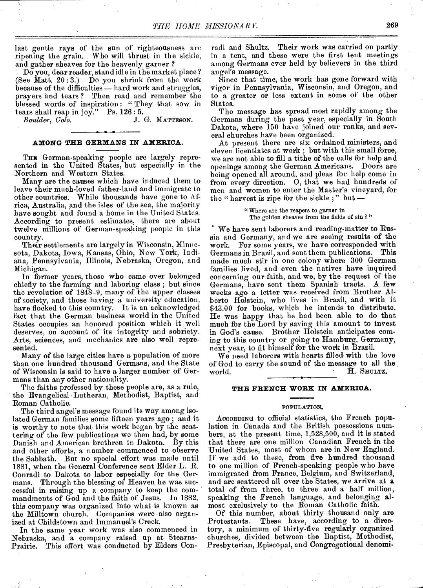last gentle rays of the sun of righteousness are ripening the grain. Who will thrust in the sickle, and gather sheaves for the heavenly garner ?

Do you, dear reader, stand idle in the market place ? (See Matt. 20 : 3.) Do you shrink from the work because of the difficulties — hard work and struggles, prayers and tears ? Then read and remember the blessed words of inspiration : " They that sow in

tears shall reap in joy." Ps.  $126:5.$ <br>Boulder, Colo. J. J. G. MATTESON.

#### **AMONG THE GERMANS IN AMERICA.**

THE German-speaking people are largely represented in the United States, but especially in the Northern and Western States.

Many are the causes which have induced them to leave their much-loved father-land and immigrate to other countries. While thousands have gone to Africa, Australia, and the isles of the sea, the majority have sought and found a home in the United States. According to present estimates, there are about twelve millions of German-speaking people in this country.

Their settlements are largely in Wisconsin, Mimicsota, Dakota, Iowa, Kansas, Ohio, New York, Indiana, Pennsylvania, Illinois, Nebraska, Oregon, and Michigan.

In former years, those who came over belonged chiefly to the farming and laboring class ; but since the revolution of 1848-9, many of the upper classes of society, and those having a university education, have flocked to this country. It is an acknowledged fact that the German business world in the United States occupies an honored position which it well deserves, on account of its integrity and sobriety. Arts, sciences, and mechanics are also well represented.

Many of the large cities have a population of more than one hundred thousand Germans, and the State of Wisconsin is said to have a larger number of Germans than any other nationality.

The faiths professed by these people are, as a rule, the Evangelical Lutheran, Methodist, Baptist, and Roman Catholic.

The third angel's message found its way among isolated German families some fifteen years ago ; and it is worthy to note that this work began by the scattering of the few publications we then had, by some Danish and American brethren in Dakota. By this and other efforts, a number commenced to observe the Sabbath. But no special effort was made until 1881, when the General Conference sent Elder L. R. Conradi to Dakota to labor especially for the Ger-Through the blessing of Heaven he was successful in raising up a company to keep the commandments of God and the faith of Jesus. In 1882, this company was organized into what is known as the Milltown church. Companies were also organized at Childstown and Immanuel's Creek.

In the same year work was also commenced in Nebraska, and a company raised up at Stearns-Prairie. This effort was conducted by Elders Conradi and Shultz. Their work was carried on partly in a tent, and these were the first tent meetings among Germans ever held by believers in the third angel's message.

Since that time, the work has gone forward with vigor in Pennsylvania, Wisconsin, and Oregon, and to a greater or less extent in some of the other States.

The message has spread most rapidly among the Germans during the past year, especially in South Dakota, where 150 have joined our ranks, and several churches have been organized.

At present there are six ordained ministers, and eleven licentiates at work ; but with this small force, we are not able to fill a tithe of the calls for help and openings among the German Americans. Doors are being opened all around, and pleas for help come in from every direction. 0, that we had hundreds of men and women to enter the Master's vineyard, for the " harvest is ripe for the sickle ; " but —

> "Where are the reapers to garner in The golden sheaves from the fields of sin ? "

We have sent laborers and reading-matter to Russia and Germany, and we are seeing results of the work. For some years, we have corresponded with Germans in Brazil, and sent them publications. This made much stir in one colony where 300 German families lived, and even the natives have inquired concerning our faith, and we, by the request of the Germans, have sent them Spanish tracts. A few weeks ago a letter was received from Brother Alberto Holstein, who lives in Brazil, and with it \$43.00 for books, which he intends to distribute. He was happy that he had been able to do that much for the Lord by saving this amount to invest in God's cause. Brother Holstein anticipates coming to this country or going to Hamburg, Germany, next year, to fit himself for the work in Brazil.

We need laborers with hearts filled with the love of God to carry the sound of the message to all the world.  $\overline{H}$ . SHULTZ.

#### **THE FRENCH WORK IN AMERICA.**

#### POPULATION.

ACCORDING to official statistics, the French population in Canada and the British possessions numbers, at the present time, 1,528,500, and it is stated that there are one million Canadian French in the United States, most of whom are in New England. If we add to these, from five hundred thousand to one million of French-speaking people who have immigrated from France, Belgium, and Switzerland, and are scattered all over the States, we arrive at **a**  total of from three, to three and a half million, speaking the French language, and belonging almost exclusively to the Roman Catholic faith.

Of this number, about thirty thousand only are Protestants. These have, according to a directory, a minimum of thirty-five regularly organized churches, divided between the Baptist, Methodist, Presbyterian, Episcopal, and Congregational denomi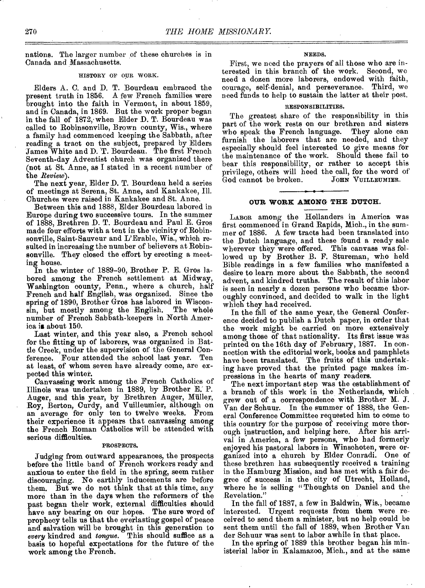nations. The larger number of these churches is in Canada and Massachusetts.

#### HISTORY OF OUR WORK.

Elders A. C. and D. T. Bourdeau embraced the present truth in 1856. A few French families were brought into the faith in Vermont, in about 1859, and in Canada, in 1869. But the work proper began in the fall of 1872, when Elder D. T. Bourdeau was called to Robinsonville, Brown county, Wis., where a family had commenced keeping the Sabbath, after reading a tract on the subject, prepared by Elders James White and D. T. Bourdeau. The first French Seventh-day Adventist church was organized there (not at St. Anne, as I stated in a recent number of the *Review).* 

The next year, Elder D. T. Bourdeau held a series of meetings at Serena, St. Anne, and Kankakee, Ill. Churches were raised in Kankakee and St. Anne.

Between this and 1888, Elder Bourdeau labored in Europe during two successive tours. In the summer of 1888, Brethren D. T. Bourdeau and Paul E. Gros made four efforts with a tent in the vicinity of Robinsonville, Saint-Sauveur and L'Erable, Wis., which resulted in increasing the number of believers at Robinsonville. They closed the effort by erecting a meeting house.

In the winter of 1889-90, Brother P. E. Gros labored among the French settlement at Midway, Washington county, Penn., where a church, half French and half English, was organized. Since the spring of 1890, Brother Gros has labored in Wiscon-<br>sin, but mostly among the English. The whole sin, but mostly among the English. number of French Sabbath-keepers in North America is about 150.

Last winter, and this year also, a French school for the fitting up of laborers, was organized in Battle Creek, under the supervision of the General Conference. Four attended the school last year. at least, of whom seven have already come, are expected this winter.

Canvassing work among the French Catholics of Illinois was undertaken in 1889, by Brother E. P. Auger, and this year, by Brethren Auger, Miiller, Roy, Berton, Curdy, and Vuilleumier, although on an average for only ten to twelve weeks. From their experience it appears that canvassing among the French Roman Catholics will be attended with serious difficulties.

#### PROSPECTS.

Judging from outward appearances, the prospects before the little band of French workers ready and anxious to enter the field in the spring, seem rather discouraging. No earthly inducements are before them. But we do not think that at this time, any more than in the days when the reformers of the past began their work, external difficulties should have any bearing on our hopes. The sure word of prophecy tells us that the everlasting gospel of peace and salvation will be brought in this generation to every kindred and *tongue.* This should suffice as a basis to hopeful expectations for the future of the work among the French.

#### NEEDS.

First, we need the prayers of all those who are interested in this branch of the work. Second, we need a dozen more laborers, endowed with faith, courage, self-denial, and perseverance. Third, *we*  need funds to help to sustain the latter at their post.

#### RESPONSIBILITIES.

The greatest share of the responsibility in this part of the work rests on our brethren and sisters who speak the French language. They alone can furnish the laborers that are needed, and they especially should feel interested to give means for the maintenance of the work. Should these fail to bear this responsibility, or rather to accept this privilege, others will heed the call, for the word of God cannot be broken. JOHN VUILLEUMIER. God cannot be broken.

#### **OUR WORK AMONG THE DUTCH.**

LABOR among the Hollanders in America was first commenced in Grand Rapids, Mich., in the summer of 1886. A few tracts had been translated into the Dutch language, and these found a ready sale wherever they were offered. This canvass was followed up by Brother B. F. Stureman, who held Bible readings in a few families who manifested a desire to learn more about the Sabbath, the second advent, and kindred truths. The result of this labor is seen in nearly a dozen persons who became thoroughly convinced, and decided to walk in the light which they had received.

In the fall of the same year, the General Conference decided to publish a Dutch paper, in order that the work might be carried on more extensively among those of that nationality. Its first issue was printed on the 16th day of February, 1887. In connection with the editorial work, books and pamphlets have been translated. The fruits of this undertaking have proved that the printed page makes impressions in the hearts of many readers.

The next important step was the establishment of a branch of this work in the Netherlands, which grew out of a correspondence with Brother M. J. Van der Schuur. In the summer of 1888, the General Conference Committee requested him to come to this country for the purpose of receiving more thorough instruction, and helping here. After his arrival in America, a few persons, who had formerly enjoyed his pastoral labors in Winschoten, were organized into a church by Elder Conradi. One of these brethren has subsequently received a training in the Hamburg Mission, and has met with a fair degree of success in the city of Utrecht, Holland, where he is selling "Thoughts on Daniel and the Revelation."

In the fall of 1887, a few in Baldwin, Wis., became interested. Urgent requests from them were received to send them a minister, but no help could be sent them until the fall of 1889, when Brother Van der Schuur was sent to labor awhile in that place.

In the spring of 1889 this brother began his ministerial labor in Kalamazoo, Mich., and at the same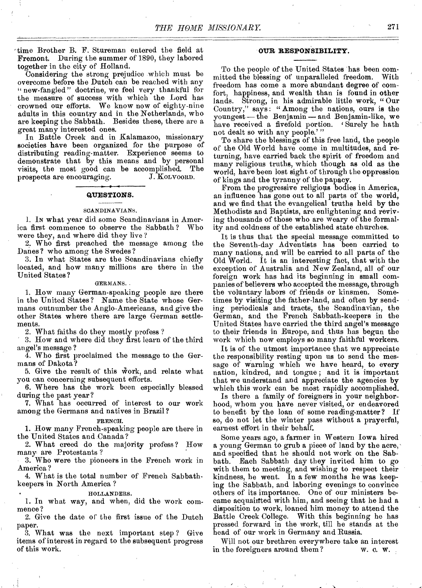'time Brother B. F. Stureman entered the field at Fremont. During the summer of 1890, they labored together in the city of Holland.

Considering the strong prejudice which must be overcome before the Dutch can be reached with any " new-fangled" doctrine, we feel very thankful for the measure of success with which the Lord has crowned our efforts. We know now of eighty-nine adults in this country and in the Netherlands, who are keeping the Sabbath. Besides these, there are a great many interested ones.

In Battle Creek and in Kalamazoo, missionary societies have been organized for the purpose of distributing reading-matter. Experience seems to demonstrate that by this means and by personal visits, the most good can be accomplished. The prospects are encouraging. J. KOLVOORD. prospects are encouraging.

# **QUESTIONS.**<br> **CANDINAVIANS**

#### **SCANDINAVIANS.**

1. IN what year did some Scandinavians in America first commence to observe the Sabbath ? Who wore they, and where did they live ?

2. Who first preached the message among the Danes ? who among the Swedes ?

3. In what States are the Scandinavians chiefly located, and how many millions are there in the United States?

#### GERMANS.

1. How many German-speaking people are there in the United States? Name the State whose Germans outnumber the Anglo-Americans, and give the other States where there are large German settlements.

2. What faiths do they mostly profess ?

3. How and where did they first learn of the third angel's message ?

4. Who first proclaimed the message to the Germans of Dakota ?

5. Give the result of this Work, and relate what you can concerning subsequent efforts.

6. Where has the work been especially blessed during the past year?

7. What has occurred of interest to our work among the Germans and natives in Brazil?

#### FRENCH.

1. How many French-speaking people are there in the United States and Canada?

2. What creed do the majority profess? How many are Protestants ?

3. Who were the pioneers in the French work in America ?

4. What is the total number of French Sabbathkeepers in North America ?

#### • HOLLANDERS.

1. In what way, and when, did the work commence ?

2. Give the date of the first issue of the Dutch paper.

3. What was the next important step ? Give items of interest in regard to the subsequent progress of this work.

#### **OUR RESPONSIBILITY.**

To the people of the United States has been com-<br>itted the blessing of unparalleled freedom. With mitted the blessing of unparalleled freedom. freedom has come a more abundant degree of comfort, happiness, and wealth than is found in other lands. Strong, in his admirable little work, " Our Country," says: "Among the nations, ours is the youngest — the Benjamin — and Benjamin-like, we have received a fivefold portion. Surely he hath not dealt so with any people.'"

To share the blessings of this free land, the people of the Old World have come in multitudes, and returning, have carried back the spirit of freedom and many religious truths, which though as old as the world, have been lost sight of through the oppression of kings and the tyranny of the papacy.

From the progressive religious bodies in America, an influence has gone out to all parts of the world, and we find that the evangelical truths held by the Methodists and Baptists, are enlightening and reviving thousands of those who are weary of the formality and coldness of the established state churches.

It is thus that the special message committed to the Seventh-day Adventists has been carried to many nations, and will be carried to all parts of the Old World. It is an interesting fact, that with the exception of Australia and New Zealand, all of our foreign work has had its beginning in small companies of believers who accepted the message, through the voluntary labors of friends or kinsmen. Sometimes by visiting the father-land, and often by sending periodicals and tracts, the Scandinavian, the German, and the French Sabbath-keepers in the United States have carried the third angel's message to their friends in Europe, and thus has begun the work which now employs so many faithful workers.

It is of the utmost importance that we appreciate the responsibility resting upon us to send the message of warning which we have heard, to every nation, kindred, and tongue ; and it is important that we understand and appreciate the agencies by which this work can be most rapidly accomplished.

Is there a family of foreigners in your neighborhood, whom you have never visited, or endeavored to benefit by the loan of some reading-matter? If so, do not let the winter pass without a prayerful, earnest effort in their behalf.

Some years ago, a farmer in Western Iowa hired a young German to grub a piece of land by the acre,' and specified that he should not work on the Sabbath. Each Sabbath day they invited him to go with them to meeting, and wishing to respect their kindness, he went. In a few months he was keeping the Sabbath, and laboring evenings to convince others of its importance. One of our ministers became acquainted with him, and seeing that he had a disposition to work, loaned him money to attend the Battle Creek College. With this beginning he has pressed forward in the work, till be stands at the head of our work in Germany and Russia.

Will not our brethren everywhere take an interest<br>the foreigners around them?  $w. c. w.$ in the foreigners around them?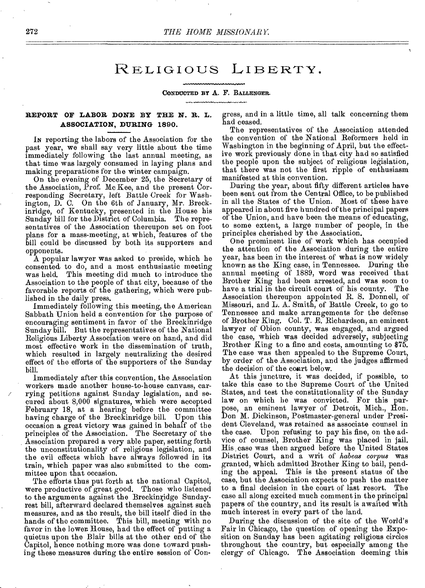## RELIGIOUS LIBERTY.

#### **CONDUCTED BY A.** F. **BALLENGER.**

#### **REPORT OF LABOR DONE BY THE N. R. L. ASSOCIATION, DURING 1890.**

**IN** reporting the labors of the Association for the past year, we shall say very little about the time immediately following the last annual meeting, as that time was largely consumed in laying plans and making preparations for the winter campaign.

On the evening of December 25, the Secretary of the Association, Prof. Mc Kee, and the present Corresponding Secretary, left Battle Creek for Washington, D. C. On the 6th of January, Mr. Breckinridge, of Kentucky, presented in the House his Sunday bill for the District of Columbia. The representatives of the Association thereupon set on foot plans for a mass-meeting, at which, features of the bill could be discussed by both its supporters and opponents.

A popular lawyer was asked to preside, which he consented, to do, and a most enthusiastic meeting was held. This meeting did much to introduce the Association to the people of that city, because of the favorable reports of the gathering, which were published in the daily press.

Immediately following this meeting, the American Sabbath Union held a convention for the purpose of encouraging sentiment in favor of the Breckinridge Sunday bill. But the representatives of the National Religious Liberty Association were on hand, and did most effective work in the dissemination of truth, which resulted in largely neutralizing the desired effect of the efforts of the supporters of the Sunday bill.

Immediately after this convention, the Association workers made another house-to-house canvass, carrying petitions against Sunday legislation, and secured about 8,000 signatures, which were accepted February 18, at a hearing before the committee having charge of the Breckinridge bill. Upon this occasion a great victory was gained in behalf of the principles of the Association. The Secretary of the Association prepared a very able paper, setting forth the unconstitutionality of religious legislation, and the evil effects which have always followed in its train, which paper was also submitted to the committee upon that occasion.

The efforts thus put forth at the national Capitol, were productive of great good. Those who listened to the arguments against the Breckinridge Sundayrest bill, afterward declared themselves against such measures, and as the result, the bill itself died in the hands of the committee. This bill, meeting with no favor in the lower House, had the effect of putting a quietus upon the Blair bills at the other end of the Capitol, hence nothing more was done toward pushing these measures during the entire session of Congress, and in a little time, all talk concerning them had ceased.

The representatives of the Association attended the convention of the National Reformers held in Washington in the beginning of April, but the effective work previously done in that city had so satisfied the people upon the subject of religious legislation, that there was not the first ripple of enthusiasm manifested at this convention.

During the year, about fifty different articles have been sent out from the Central Office, to be published in all the States of the Union. Most of these have appeared in about five hundred of the principal papers of the Union, and have been the means of educating, to some extent, a large number of people, in the principles cherished by the Association.

One prominent line of work which has occupied the attention of the Association during the entire year, has been in the interest of what is now widely known as the King case, in Tennessee. During the annual meeting of 1889, word was received that Brother King had been arrested, and was soon to have a trial in the circuit court of his county. The have a trial in the circuit court of his county. Association thereupon appointed R. S. Donnell, of Missouri, and L. A. Smith, of Battle Creek, to go to Tennessee and make arrangements for the defense of Brother King. Col. T. E. Richardson, an eminent lawyer of Obion county, was engaged, and argued the case, which was decided adversely, subjecting Brother King to a fine and costs, amounting to \$75. The case was then appealed to the Supreme Court, by order of the Association, and the judges affirmed the decision of the court below.

At this juncture, it was decided, if possible, to take this case to the Supreme Court of the United States, and test the constitutionality of the Sunday law on which he was convicted. For this purpose, an eminent lawyer of Detroit, Mich., Hon. Don M. Dickinson, Postmaster-general under President Cleveland, was retained as associate counsel in the case. Upon refusing to pay his fine, on the advice of counsel, Brother King was placed in jail. His case was then argued before the United States District Court, and a writ of *habeas corpus* was granted, which admitted Brother King to bail, pending the appeal. This is the present status of the case, but the Association expects to push the matter to a final decision in the court of last resort. The case all along excited much comment in the principal papers of the country, and its result is awaited with much interest in every part of the land.

During the discussion of the site of the World's Fair in Chicago, the question of opening the Exposition on Sunday has been agitating religious circles throughout the country, but especially among the clergy of Chicago. The Association deeming this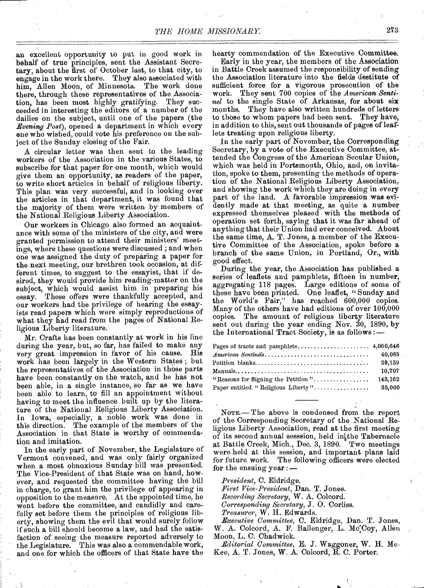an excellent opportunity to put in good work in behalf of true principles, sent the Assistant Secretary, about the first of October last, to that city, to engage in the work there. They also associated with him, Allen Moon, of Minnesota. The work done there, through these representatives of the Association, has been most highly gratifying. They succeeded in interesting the editors of a number of the dailies on the subject, until one of the papers (the *Evening Post),* opened a department in which every ens who wished, could vote his preference on the subject of the Sunday closing of the Fair.

A circular letter was then sent to the leading workers of the Association in the various States, to subscribe for that paper for one month, which would give them an opportunity, as readers of the paper, to write short articles in behalf of religious liberty. This plan was very successful, and in looking over the articles in that department, it was found that the majority of them were written by members of the National Religious Liberty Association.

Our workers in Chicago also formed an acquaintance with some of the ministers of the city, and were granted permission to attend their ministers' meetings, where these questions were discussed ; and when one was assigned the duty of preparing a paper for the next meeting, our brethren took occasion, at different times, to suggest to the essayist, that if desired, they would provide him reading-matter on the subject, which would assist him in preparing his essay. These offers were thankfully accepted, and our workers had the privilege of bearing the essayists read papers which were simply reproductions of what they had read from the pages of National Religious Liberty literature.

Mr. Crafts has been constantly at work in his line during the year, but, so far, has failed to make any very great impression in favor of his cause. His very great impression in favor of his cause. work has been largely in the Western States ; but the representatives of the Association in those parts have been constantly on the watch, and he has not been able, in a single instance, so far as we have been able to learn, to fill an appointment without having to meet the influence built up by the literature of the National Religious Liberty Association. In Iowa, especially, a noble work was done in this direction. The example of the members of the The example of the members of the Association in that State is worthy of commendation and imitation.

In the early part of November, the Legislature of Vermont convened, and was only fairly organized when a most obnoxious Sunday bill was presented. The Vice-President of that State was on hand, however, and requested the committee having the bill in charge, to grant him the privilege of appearing in opposition to the measure. At the appointed time, he went before the committee, and candidly and carefully set before them the principles of religious liberty, showing them the evil that would surely follow if such a bill should become a law, and had the satisfaction of seeing the measure reported adversely to the Legislature. This was also a commendable work, and one for which the officers of that State have the

hearty commendation of the Executive Committee.

Early in the year, the members of the Association in Battle Creek assumed the responsibility of sending the Association literature into the fields destitute of sufficient force for a vigorous prosecution of the work. They sent 700 copies of the *American Sentinel* to the single State of Arkansas, for about six months. They have also written hundreds of letters to those to whom papers had been sent. They have, in addition to this, sent out thousands of pages of leaflets treating upon religious liberty.

In the early part of November, the Corresponding Secretary, by a vote of the Executive Committee, attended the Congress of the American Secular Union, which was held in Portsmouth, Ohio, and, on invitation, spoke to them, presenting the methods of operation of the National Religious Liberty Association, and showing the work which they are doing in every part of the land. A favorable impression was evidently made at that meeting, as quite a number expressed themselves pleased with the methods of operation set forth, saying that it was far ahead of anything that their Union had ever conceived. About the same time, A. T. Jones, a member of the Executive Committee of the Association, spoke before a branch of the same Union, in Portland, Or., with good effect.

During the year, the Association has published a series of leaflets and pamphlets, fifteen in number, aggregating 118 pages. Large editions of some of these have been printed. One leaflet, "Sunday and the World's Fair," has reached 600,000 copies. Many of the others have had editions of over  $100,000$ copies. The amount of religious liberty literature sent out during the year ending Nov. 30, 1890, by the International Tract Society, is as follows :-

| $American\ Sentiles \dots \dots \dots \dots \dots \dots \dots \dots \dots \dots \dots \dots$ | 40,085  |
|----------------------------------------------------------------------------------------------|---------|
|                                                                                              | 29,159  |
|                                                                                              | 10,707  |
| "Reasons for Signing the Petition"                                                           | 143,162 |
| Paper entitled "Religious Liberty"                                                           | 35,000  |
|                                                                                              |         |

NOTE.— The above is condensed from the report of the Corresponding Secretary of the National Religious Liberty Association, read at the first meeting of its second annual sesssion, held in the Tabernacle at Battle Creek, Mich., Dec. 3, 1890. Two meetings were held at this session, and important plans laid for future work. The following officers were elected for the ensuing year *:—* 

*President,* C. Eldridge.

*First Vice-President,* Dan. T. Jones.

*Recording Secretary,* W. A. Colcord.

*Corresponding Secretary,* J. 0. Corliss.

*Treasurer,* W. H. Edwards.

*Executive Committee,* C. Eldridge, Dan. T. Jones, W. A. Colcord, A. F. Ballenger, L. McCoy, Allen Moon, L. C. Chadwick.

*Editorial Committee,* E. J. Waggoner, W. H. Mc-Kee, A. T. Jones, W. A. Colcord, R. C. Porter.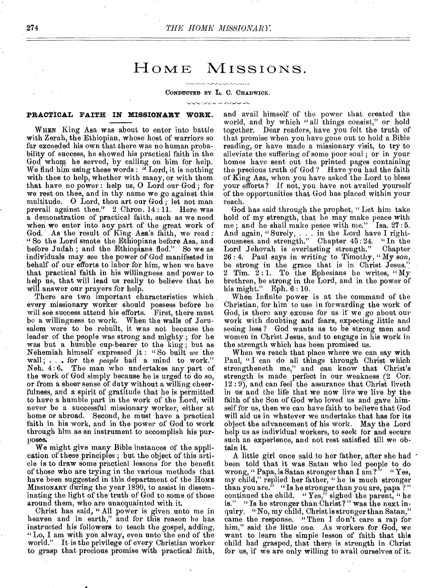## HOME MISSIONS.

#### CONDUCTED BY L. C. CHADWICK.

#### **PRACTICAL FAITH IN MISSIONARY WORK.**

WHEN King Asa was about to enter into battle with Zerah, the Ethiopian, whose host of warriors so far exceeded his own that there was no human probability of success, he showed his practical faith in the God whom he served, by calling on him for help. We find him using these words : "Lord, it is nothing with thee to help, whether with many, or with them that have no power : help us, 0 Lord our God ; for we rest on thee, and in thy name we go against this multitude. O Lord, thou art our God; let not man prevail against thee." 2 Chron. 14:11. Here was a demonstration of practical faith, such as we need when we enter into any part of the great work of God. As the result of King Asa's faith, we read : " So the Lord smote the Ethiopians before Asa, and before Judah ; and the Ethiopians fled." So we as individuals may see the power of God manifested in behalf of our efforts to labor for him, when we have that practical faith in his willingness and power to help us, that will lead us really to believe that he will answer our prayers for help.

There are two important characteristics which every missionary worker should possess before he will see success attend his efforts. be a willingness to work. When the walls of Jerusalem were to be rebuilt, it was not because the leader of the people was strong and mighty ; for he was but a humble cup-bearer to the king ; but as Nehemiah himself expressed it : " So built *we* the wall; . . . for the *people* had a mind to work." Neh. 4: 6. The man who undertakes any part of the work of God simply because he is urged to do so, or from a sheer sense of duty without a willing cheerfulness, and a spirit of gratitude that he is permitted to have a humble part in the work of the Lord, will never be a successful missionary worker, either at home or abroad. Second, he must have a practical faith in his work, and in the power of God to work through him as an instrument to accomplish his purposes.

We might give many Bible instances of the application of these principles ; but the object of this article is to draw some practical lessons for the benefit of those who are trying in the various methods that have been suggested in this department of the HOME MISSIONARY during the year 1890, to assist in disseminating the light of the truth of God to some of those around them, who are unacquainted with it.

Christ has said, "All power is given unto me in heaven and in earth," and for this reason he has instructed his followers to teach the gospel, adding, "Lo, I am with you alway, even unto the end of the world." It is the privilege of every Christian worker to grasp that precious promise with practical faith,

and avail himself of the power that created the world, and by which " all things consist," or hold together. Dear readers, have you felt the truth of that promise when you have gone out to hold a Bible reading, or have made a missionary visit, to try to alleviate the suffering of some poor soul ; or in your homes have sent out the printed pages containing the precious truth of God? Have you had the faith of King Asa, when you have asked the Lord to bless your efforts ? If not, you have not availed yourself of the opportunities that. God has placed within your reach.

God has said through the prophet, "Let him take hold of my strength, that he may make peace with me:<br>me: and he shall make peace with me." Isa. 27:5. me; and he shall make peace with me." And again, " Surely, . . . in the Lord have I righteousness. and strength." Chapter 45 : 24. " In the Lord Jehovah is everlasting strength." Chapter 26 : 4. Paul says in writing to Timothy, " My son, be strong in the grace that is in Christ Jesus.' 2 Tim.  $2:1$ . To the Ephesians he writes, "My brethren, be strong in the Lord, and in the power of his might."  $Eph. 6:10.$ 

When Infinite power is at the command of the Christian, for him to use in forwarding the work of God, is there any excuse for us if we go about our work with doubting and fears, expecting little and seeing less ? God wants us to be strong men and women in Christ Jesus, and to engage in his work in the strength which has been promised us.

When we reach that place where we can say with Paul, "I can do all things through Christ which strengtheneth me," and can know that Christ's strength is made perfect in our weakness (2 Cor.  $12: 9$ , and can feel the assurance that Christ liveth in us and the life that we now live we live by the faith of the Son of God who loved us and gave himself for us, then we can have faith to believe that God will aid us in whatever we undertake that has for its object the advancement of his work. May the Lord help us as individual workers, to seek for and secure such an experience, and not rest satisfied till we obtain it.

A little girl once said to her father, after she had been told that it was Satan who led people to do wrong, " Papa, is Satan stronger than I am ?" " Yes, my child," replied her father, " he is much stronger than you are." "Is he stronger than you are, papa ? " continued the child. " $Yes<sup>5</sup>$  sighed the parent, " he is." "Is be stronger than Christ? " was the next inquiry. "No, my child, Christ is stronger than Satan," came the response. " Then I don't care a rap for him," said the little one. As workers for God, we want to learn the simple lesson of faith that this child had grasped, that there is strength in Christ for us, if we are only willing to avail ourselves of it.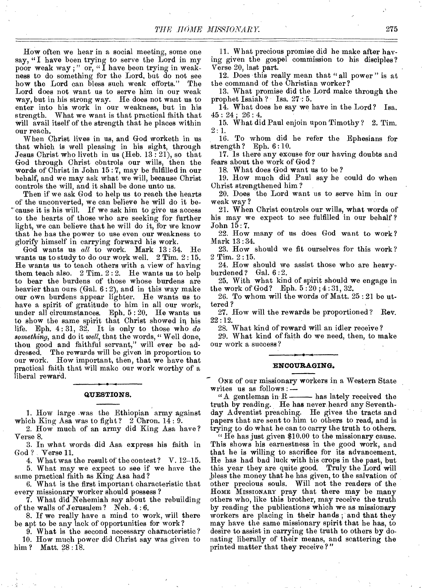How often we hear in a social meeting, some one say, "I have been trying to serve the Lord in my poor weak way ; " or, " I have been trying in weakness to do something for the Lord, but do not see how the Lord can bless such weak efforts." The Lord does not want us to serve him in our weak way, but in his strong way. He does not want us to enter into his work in our weakness, but in his strength. What we want is that practical faith that will avail itself of the strength that he places within our reach.

When Christ lives in us, and God worketh in us that which is well pleasing in his sight, through Jesus Christ who liveth in us (Heb. 13 : 21), so that God through Christ controls our wills, then the words of Christ in John 15 : 7, may be fulfilled in our behalf, and we may ask what we will, because Christ controls the will, and it shall be done unto us.

Then if we ask God to help us to reach the hearts of the unconverted, we can believe he will do it be- ' cause it is his will. If we ask him to give us access to the hearts of those who are seeking for further light, we can believe that he will do it, for we know that he has the power to use even our weakness to glorify himself in carrying forward his work.

God wants us *all* to work. Mark 13 : 34. He wants us to study to do our work well. 2 Tim. 2:15. He wants us to teach others with a view of having them teach also.  $2$  Tim.  $2:2$ . He wants us to help to bear the burdens of those whose burdens are heavier than ours (Gal. 6 : 2), and in this way make our own burdens appear lighter. He wants us to have a spirit of gratitude to him in all our work, under all circumstances. Eph. 5 : 20. He wants us to show the same spirit that Christ showed in his life. Eph. 4: 31, 32. It is only to those who *do something,* and do it *well,* that the words, " Well done, thou good and faithful servant," will ever be addressed. The rewards will be given in proportion to our work. How important, then, that we have that practical faith that will make our work worthy of a liberal reward.

#### **QUESTIONS.**

1. How large was the Ethiopian army against which King Asa was to fight?  $2$  Chron. 14: 9.

2. How much of an army did King Asa have? Verse 8.

3. In what words did Asa express his faith in God ? Verse 11.

4. What was the result of the contest ? V. 12-15. 5. What may we expect to see if' we have the same practical faith as King Asa had ?

6. What is the first important characteristic that every missionary worker should possess ?

7. What did Nehemiah say about the rebuilding of the walls of Jerusalem ? Neb. 4 : 6.

8. If we really have a mind to work, will there be apt to be any lack of opportunities for work ?

9. What is the second necessary characteristic?

10. How much power did Christ say was given to him ? Matt. 28:18.

11. What precious promise did he make after having given the gospel commission to his disciples? Verse 20, last part.

12. Does this really mean that " all power " is at the command of the Christian worker?

13. What promise did the Lord make through the prophet Isaiah ? Isa. 27 : 5.

14. What does be say we have in the Lord? Isa.  $45:24;26:4.$ 

15. What did Paul enjoin upon Timothy ? 2. Tim.  $2:1.$ 

16. To whom did he refer the Ephesians for strength? Eph. 6:10.

17. Is there any excuse for our having doubts and fears about the work of God ?

18. What does God want us to be ?

19. How much did Paul say he could do when Christ strengthened him ?

20. Does the Lord want us to serve him in our weak way ?

21. When Christ controls our wills, what words of his may we expect to see fulfilled in our behalf ? John 15:7.

22. How many of us does God want to work? Mark 13:34.

23. How should we fit ourselves for this work? 2 Tim. 2 :15.

24. How should we assist those who are heavyburdened? Gal. 6 :2.

25. With what kind of spirit should we engage in the work of God? Eph.  $5:20; 4:31, 32$ .

26. To whom will the words of Matt. 25 : 21 be uttered ?

27. How will the rewards be proportioned? Rev. 22 :12.

28. What kind of reward will an idler receive ?

29. What kind of faith do we need, then, to make our work a success ?

#### **ENCOURAGING.**

ONE of our missionary workers in a Western State writes us as follows: $\frac{1}{x}$ 

" A gentleman in  $R$  - has lately received the truth by reading. He has never heard any Seventhday Adventist preaching. He gives the tracts and papers that are sent to him to others to read, and is trying to do what he can to carry the truth to others.

" He has just given  $$10.00$  to the missionary cause. This shows his earnestness in the good work, and that he is willing to sacrifice for its advancement. He has had bad luck with his crops in the past, but this year they are quite good. Truly the Lord will bless the money that he has given, to the salvation of other precious souls. Will not the readers of the HOME MISSIONARY pray that there may be many others who, like this brother, may receive the truth by reading the publications which we as missionary workers are placing in their hands ; and that they may have the same missionary spirit that he has, to desire to assist in carrying the truth to others by donating liberally of their means, and scattering the printed matter that they receive ?"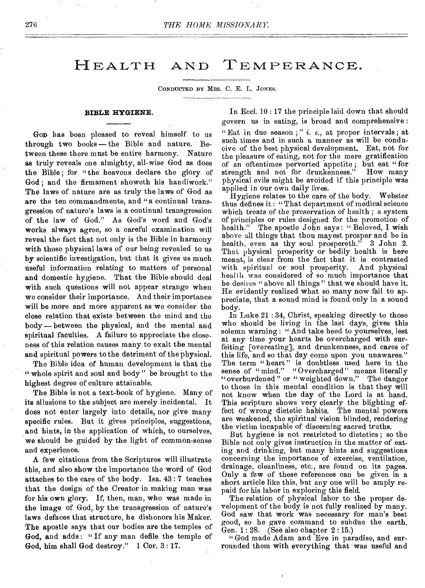## HEALTH AND TEMPERANCE.

CONDUCTED BY MRS. C. E. L. JONES.

#### **BIBLE HYGIENE.**

**GOD** has been pleased to reveal himself to us through two books— the Bible and nature. Between these there must be entire harmony. Nature as truly reveals one almighty, all-wise God as does the Bible; for "the heavens declare the glory. of God ; and the firmament showeth his handiwork." The laws of nature are as truly the laws of God as are the ten commandments, and "a continual transgression of nature's laws is a continual transgression of the law of God." As God's word and God's works always agree, so a careful examination will reveal the fact that not only is the Bible in harmony with those physical laws of our being revealed to us by scientific investigation, but that it gives us much useful information relating to matters of personal and domestic hygiene. That the Bible should deal with such questions will not appear strange when we consider their importance. And their importance will be more and more apparent as we consider the close relation that exists between the mind and the body — between the physical, and the mental and spiritual faculties. A failure to appreciate the closeness of this relation causes many to exalt the mental and spiritual powers to the detriment of the physical.

The Bible idea of human development is that the " whole spirit and soul and body" be brought to the highest degree of culture attainable.

The Bible is not a text-book of hygiene. Many of its allusions to the subject are merely incidental. It does not enter largely into details, nor give many specific rules. But it gives principles, suggestions, and hints, in the application of which, to ourselves, we should be guided by the light of common-sense and experience.

A few citations from the Scriptures will illustrate this, and also show the importance the word of God attaches to the care of the body. Isa, 43 : 7 teaches that the design of the Creator in making man was for his own glory. If, then, man, who was made in the image of God, by the transgression of nature's laws defaces that structure, be dishonors his Maker. The apostle says that our bodies are the temples of God, and adds : " If any man defile the temple of God, him shall God destroy." 1 Cor. 3 : 17.

In Eccl. 10 : 17 the principle laid down that should govern us in eating, is broad and comprehensive : "Eat in due season ; " i. *e.,* at proper intervals ; at such times and in such a manner as will be conducive of the best physical development. Eat, not for the pleasure of eating, not for the mere gratification of an oftentimes perverted appetite ; but eat " for strength and not for drunkenness." How many physical evils might be avoided if this principle was applied in our own daily lives.

Hygiene relates to the care of the body. Webster thus defines it : "That department of medical science which treats of the preservation of health; a system of principles or rules designed for the promotion of health." The apostle John says: "Beloved, I wish above all things that thou may est prosper and be in health, even as thy soul prospereth." 3 John 2. That physical prosperity or bodily health is here meant, is clear from the fact that it is contrasted with spiritual or soul prosperity. And physical health was considered of so much importance that he desires "above all things" that we should have it. He evidently realized what so many now fail to appreciate, that a sound mind is found only in a sound body.

In Luke 21 : 34, Christ, speaking directly to those who should be living in the last days, gives this solemn warning : " And take heed to yourselves, lest at any time your hearts be overcharged with surfeiting [overeating], and drunkenness, and cares of this life, and so that day come upon you unawares." The term "heart" is doubtless used here in the sense of "mind." "Overcharged" means literally " overburdened" or " weighted down." The danger to those in this mental condition is that they will not know when the day of the Lord is at hand. This scripture shows very clearly the blighting effect of wrong dietetic habits. The mental powers are weakened, the spiritual vision blinded, rendering the victim incapable of discerning sacred truths.

But hygiene is not restricted to dietetics ; so the Bible not only gives instruction in the matter of eating and drinking, but many hints and suggestions concerning the importance of exercise, ventilation, drainage, cleanliness, etc., are found on its pages. Only a few of these references can be given in a short article like this, but any one will be amply repaid for his labor in exploring this field.

The relation of physical labor to the proper development of the body is not fully realized by many. God saw that work was necessary for man's best good, so he gave command to subdue the earth. Gen. 1 : 28. (See also chapter 2 :15.)

" God made Adam and Eve in paradise, and surrounded them with everything that was useful and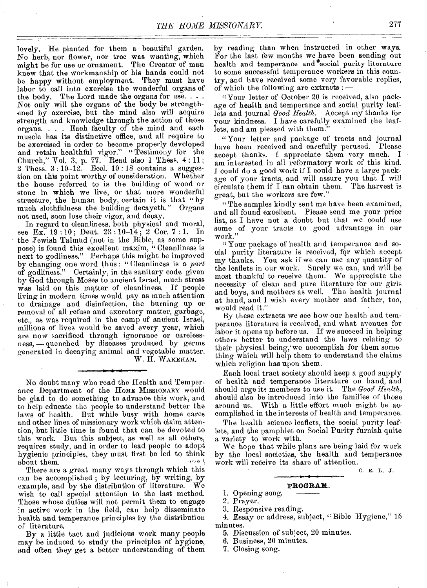lovely. He planted for them a beautiful garden. No herb, nor flower, nor tree was wanting, which might be for use or ornament. The Creator of man knew that the workmanship of his hands could not be happy without employment. They must have labor to call into exercise the wonderful organs of the body. The Lord made the organs for use.  $\ldots$ . Not only will the organs of the body be strengthened by exercise, but the mind also will acquire strength and knowledge through the action of those organs. . . . Each faculty of the mind and each muscle has its distinctive office, and all require to be exercised in order to become properly developed and retain healthful vigor." "Testimony for the Church," Vol. 3, p. 77. Read also 1 Thess.  $4:11$ ; 2 Thess. 3:10-12. Eccl. 10:18 contains a suggestion on this point worthy of consideration. Whether the house referred to is the building of wood or stone in which we live, or that more wonderful structure, the human body, certain it is that " by much slothfulness the building decayeth." Organs not used, soon lose their vigor, and decay.

In regard to cleanliness, both physical and moral, see Ex. 19 : 10 ; Deut. 23 : 10-14 ; 2 Cor. 7 : 1. In the Jewish Talmud (not in the Bible, as some suppose) is found this excellent maxim, "Cleanliness is next to godliness." Perhaps this might be improved by changing one word thus : " Cleanliness is a *part*  of godliness." Certainly, in the sanitary code given by God through Moses to ancient Israel, much stress was laid on this matter of cleanliness. If people living in modern times would pay as much attention to drainage and disinfection, the burning up or removal of all refuse and excretory matter, garbage, etc., as was required in the camp of ancient Israel, millions of lives would be saved every year, which are now sacrificed through ignorance or carelessness, — quenched by diseases produced by germs generated in decaying animal and vegetable matter.

W. H. WAKEHAM.

No doubt many who read the Health and Temperance Department of the HOME MISSIONARY would be glad to do something to advance this work, and to help educate the people to understand better the laws of health. But while busy with home cares and other lines of missionary work which claim attention, but little time is found that can be devoted to this work. Dut this subject, as well as all others, requires study, and in order to lead people to adopt hygienic principles, they must first be led to think about them.

There are a great many ways through which this can be accomplished ; by lecturing, by writing, by example, and by the distribution of literature. We wish to call special attention to the last method. Those whose duties will not permit them to engage in active work in the field, can help disseminate health and temperance principles by the distribution of literature.

By a little tact and judicious work many people may be induced to study the principles of hygiene, and often they get a better understanding of them

by reading than when instructed in other ways. For the last few months we have been sending out health and temperance and social purity literature to some successful temperance workers in this country, and have received some very favorable replies, of which the following are extracts :

" Your letter of October 20 is received, also package of health and temperance and social purity leaflets and journal *Good Health.* Accept my thanks for your kindness. I have carefully examined the leaflets, and am pleased with them."

"Your letter and package of tracts and journal have been received and carefully perused. Please accept thanks. I appreciate them very much. I am interested in all reformatory work of this kind. I could do a good work if I could have a large package of your tracts, and will assure you that I will circulate them if I can obtain them. The harvest is great, but the workers are few."

" The samples kindly sent me have been examined, and all found excellent. Please send me your price list, as I have not a doubt but that we could use some of your tracts to good advantage in our work."

" Your package of health and temperance and social purity literature is received, fqr which accept my thanks. You ask if we can use any quantity of the leaflets in our work. Surely we can, and will be most thankful to receive them. We appreciate the necessity of clean and pure literature for our girls and boys, and mothers as well. The health journal at hand, and I wish every mother and father, too, would read it."

By these extracts we see how our health and temperance literature is received, and what avenues for labor it opens up before us. If we succeed in helping others better to understand the laws relating to their physical being, we accomplish for them something which will help them to understand the claims which religion has upon them.

Each local tract society should keep a good supply of health and temperance literature on hand, and should urge its members to use it. The *Good Health,*  should also be introduced into the families of those around us. With a little effort much might be accomplished in the interests of health and temperance.

The health science leaflets, the social purity leaflets, and the pamphlet on Social Purity furnish quite a variety to work with.

We hope that while plans are being laid for work by the local societies, the health and temperance work will receive its share of attention.

0, E. L. J.

#### **PROGRAM.**

1. Opening song.

2. Prayer.

3. Responsive reading.

4. Essay or address, subject, " Bible Hygiene," 15 minutes.

5. Discussion of subject, 20 minutes.

6. Business, 20 minutes.

7. Closing song.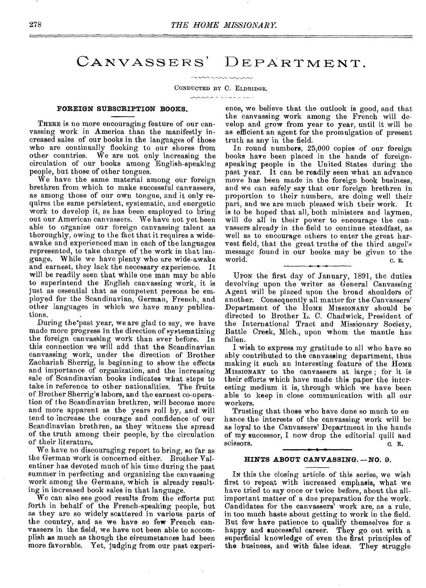## CANVASSERS' DEPARTMENT.

CONDUCTED BY C. ELDRIDGE.

#### $\frac{1}{2}$

#### **FOREIGN SUBSCRIPTION BOOKS.**

THERE is no more encouraging feature of our canvassing work in America than the manifestly increased sales of our books in the languages of those who are continually flocking to our shores from other countries. We are not only increasing the circulation of our books among English-speaking people, but those of other tongues.

We have the same material among our foreign brethren from which to make successful canvassers, as among those of our own tongue, and it only requires the same persistent, systematic, and energetic work to develop it, as has been employed to bring out our American canvassers. We have not yet been able to organize our foreign canvassing talent as thoroughly, owing to the fact that it requires a wideawake and experienced man in each of the languages represented, to take charge of the work in that language. While we have plenty who are wide-awake and earnest, they lack the necessary experience. It will be readily seen that while one man may be able to superintend the English canvassing work, it is just as essential that as competent persons be employed for the Scandinavian, German, French, and other languages in which we have many publications.

During the'past year, we are glad to say, we have made more progress in the direction of systematizing the foreign canvassing work than ever before. In this connection we will add that the Scandinavian canvassing work, under the direction of Brother Zachariah Sherrig, is beginning to show the effects and importance of organization, and the increasing sale of Scandinavian books indicates what steps to take in reference to other nationalities. The fruits of Brother Sherrig's labors, and the earnest co-operation of the Scandinavian brethren, will become more and more apparent as the years roll by, and will tend to increase the courage and ,confidence of our Scandinavian brethren, as they witness the spread of the truth among their people, by the circulation of their literature.

We have no discouraging report to bring, so far as the German work is concerned either. Brother Valentiner has devoted much of his time during the past summer in perfecting and organizing the canvassing work among the Germans, which is already resulting in increased book sales in that language.

We can also see good results from the efforts put forth in behalf of the French-speaking people, but as they are so widely scattered in various parts of the country, and as we have so *few* French canvassers in the field, we have not been able to accomplish as much as though the circumstances had been more favorable. Yet, judging from our past experi-

ence, we believe that the outlook is good, and that the canvassing work among the French will develop and grow from year to year, until it will be as efficient an agent for the promulgation of present truth as any in the field.

In round numbers, 25,000 copies of our foreign books have been placed in the hands of foreignspeaking people in the United States during the past year. It can be readily seen what an advance move has been made in the foreign book business, and we can safely say that our foreign brethren in proportion to their numbers, are doing well their part, and we are much pleased with their work. It is to be hoped that all, both ministers and laymen, will do all in their power to encourage the canvassers already in the field to continue steadfast, as well as to encourage others to enter the great harvest field, that the great truths of the third angel's message found in our books may be given to the world. world.  $\qquad \qquad \bullet$   $\qquad \qquad \bullet$   $\qquad \qquad \bullet$   $\qquad \qquad \bullet$   $\qquad \qquad \bullet$   $\qquad \qquad \bullet$ 

UPON the first day of January, 1891, the duties devolving upon the writer as General Canvassing Agent will be placed upon the broad shoulders of another. Consequently all matter for the Canvassers' Department of the HOME MISSIONARY should be directed to Brother L. C. Chadwick, President of the International Tract and Missionary Society, Battle Creek, Mich., upon whom the mantle has fallen.

I wish to express my gratitude to all who have so ably contributed to the canvassing department, thus making it such an interesting feature of the HOME MISSIONARY to the canvassers at large ; for it is their efforts which have made this paper the interesting medium it is, through which we have been able to keep in close communication with all our workers.

Trusting that those who have done so much to en hance the interests of the canvassing work will be as loyal to the Canvassers' Department in the hands of my successor, I now drop the editorial quill and scissors. C. E.

#### **HINTS ABOUT CANVASSING. —NO.** 9.

IN this the closing article of this series, we wish first to repeat with increased emphasis, what we have tried to say once or twice before, about the allimportant matter of a due preparation for the work. Candidates for the canvassers' work are, as a rule, in too much haste about getting to work in the field. But few have patience to qualify themselves for a happy and successful career. They go out with a superficial knowledge of even the first principles of the business, and with false ideas. They struggle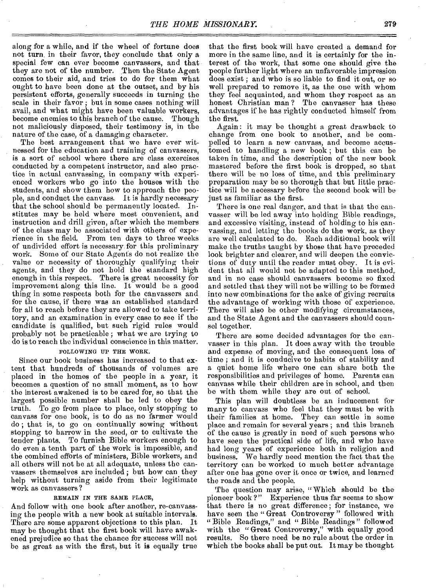along for a while, and *if* the wheel of fortune does not turn in their favor, they conclude that only a special few can ever become canvassers, and that they are not of the number. Then the State Agent comes to their aid, and tries to do for them what ought to have been done at the outset, and by his persistent efforts, generally succeeds in turning the scale in their favor ; but in some cases nothing will avail, and what might have been valuable workers, become enemies to this branch of the cause. Though not maliciously disposed, their testimony is, in the nature of the case, of a damaging character.

The best arrangement that we have ever witnessed for the education and training of canvassers, is a sort of school where there are class exercises conducted by a competent instructor, and also practice in actual canvassing, in company with experienced workers who go into the houses with the students, and show them how to approach the people, and conduct the canvass. It is hardly necessary that the school should be permanently located. Institutes may be held where most convenient, and instruction and drill given, after which the members of the class may be associated with others of experience in the field. From ton days to three weeks of undivided effort is necessary for this preliminary work. Some of our State Agents do not realize the value or necessity of thoroughly qualifying their agents, and they do not hold the standard high enough in this respect. There is great necessity for improvement along this line. It would be a good thing in some respects both for the canvassers and for the cause, if there was an established standard for all to reach before they are allowed to take territory, and an examination in every case to see if the candidate is qualified, but such rigid rules would probably not be practicable ; what we are trying to do is to reach the individual conscience in this matter.

#### FOLLOWING UP THE WORK.

Since our book business has increased to that extent that hundreds of thousands of volumes are placed in the homes of the people in a year, it becomes a question of no small moment, as to how the interest awakened is to be cared for, so that the largest possible number shall be led to obey the truth. To go from place to place, only stopping to canvass for one book, is to do as no farmer would do ; that is, to go on continually sowing without stopping to harrow in the seed, or to cultivate the tender plants. To furnish Bible workers enough to do even a tenth part of' the work is impossible, and the combined efforts of ministers, Bible workers, and all others will not be at all adequate, unless the canvassers themselves are included ; but how can they help without turning aside from their legitimate work as canvassers ?

#### REMAIN IN THE SAME PLACE,

And follow with one book after another, re-canvassing the people with a new book at suitable intervals. There are some apparent objections to this plan. It may be thought that the first book will have awakened prejudice so that the chance for success will not be as great as with the first, but it is equally true

that the first book will have created a demand for more in the same line, and it is certainly for the interest of the work, that some one should give the people further light where an unfavorable impression does exist ; and who is so liable to find it out, or so well prepared to remove it, as the one with whom they feel acquainted, and whom they respect as an honest Christian man ? The canvasser has these advantages if he has rightly conducted himself from the first.

Again : it may be thought a great drawback to change from one book to another, and be compelled to learn a new canvass, and become accustomed to handling a new book ; but this can be taken in time, and the description of the new book mastered before the first book is dropped, so that there will be no loss of time, and this preliminary preparation may be so thorough that but little practice will be necessary before the second book will be just as familiar as the first.

There is one real danger, and that is that the canvasser will be led away into holding Bible readings, and excessive visiting, instead of holding to his canvassing, and letting the books do the work, as they are well calculated to do. Each additional book will make the truths taught by those that have preceded look brighter and clearer, and will deepen the convictions of duty until the reader must obey. It is evident that all would not be adapted to this method, and in no case should canvassers become so fixed and settled that they will not be willing to be formed into new combinations for the sake of giving recruits the advantage of working with those of experience. There will also be other modifying circumstances, and the State Agent and the canvassers should counsel together.

There are some decided advantages for the canvasser in this plan. It does away with the trouble and expense of moving, and the consequent loss of time ; and it is conducive to habits of stability and a quiet home life where one can share both the responsibilities and privileges of home. Parents can canvass while their children are in school, and then be with them while they are out of school.

This plan will doubtless be an inducement for many to canvass who feel that they must be with their families at home. They can settle in some place and remain for several years ; and this branch of the cause is greatly in need of such persons who have seen the practical side of life, and who have had long years of experience both in religion and business. We hardly need mention the fact that the territory can be worked to much better advantage after one has gone over it once or twice, and learned the roads and the people.

The question may arise, "Which should be the pioneer book ?" Experience thus far seems to show that there is no great difference; for instance, we have seen the "Great Controversy" followed with " Bible Readings," and " Bible Readings " followed with the "Great Controversy," with equally good results. So there need be no rule about the order in which the books shall be put out. It may be thought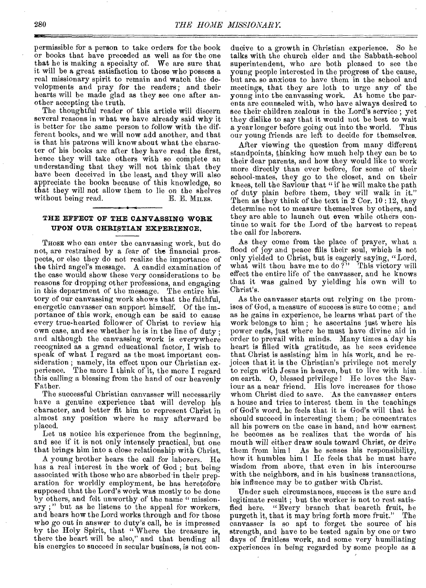permissible for a person to take orders for the book or books that have preceded as well as for the one that he is making a specialty of. We are sure that it will be a great satisfaction to those who possess a real missionary spirit to remain and watch the developments and pray for the readers; and their hearts will be made glad as they see one after another accepting the truth.

The thoughtful reader of this article will discern several reasons in what we have already said why it is better for the same person to follow with the different books, and we will now add another, and that is that his patrons will know about what the character of his books are after they have read the first, hence they will take others with so complete an understanding that they will not think that they have been deceived in the least, and they will also appreciate the books because of this knowledge, so that they will not allow them to lie on the shelves without being read.  $E.$  E. MILES. without being read.

#### **THE EFFECT OF THE CANVASSING WORK UPON OUR CHRISTIAN EXPERIENCE.**

THOSE who can enter the canvassing work, but do not, are restrained by a fear of the financial prospects, or else they do not realize the importance of the third angel's message. A candid examination of the case would show these very considerations to be reasons for dropping other professions, and engaging in this department of the message. The entire history of our canvassing work shows that the faithful, energetic canvasser can support himself. Of the importance of this work, enough can be said to cause every true-hearted follower of Christ to review his own case, and see whether he is in the line of duty ; and although the canvassing work is everywhere recognized as a grand educational factor, I wish to speak of what I regard as the most important consideration ; namely, its effect upon our Christian experience. The more I think of it, the more I regard this calling a blessing from the hand of our heavenly Father.

The successful Christian canvasser will necessarily have a genuine experience that will develop his character, and better fit him to represent Christ in almost any position where he may afterward be placed.

Let us notice his experience from the beginning, and see if it is not only intensely practical, but one that brings him into a close relationship with Christ.

A young brother hears the call for laborers. He has a real interest in the work of God; but being associated with those who are absorbed in their preparation for worldly employment, he has heretofore supposed that the Lord's work was mostly to be done by others, and felt unworthy of the name " missionary ; " but as he listens to the appeal for workers, and hears how the Lord works through and for those who go out in answer to duty's call, he is impressed by the Holy Spirit, that " Where the treasure is, there the heart will be also," and that bending all his energies to succeed in secular business, is not conducive to a growth in Christian experience. So he talks with the church elder and the Sabbath-school superintendent, who are both pleased to see the young people interested in the progress of the cause, but are. soanxious to have them in the school and meetings, that they are loth to urge any of the young into the canvassing work. At home the parents are counseled with, who have always desired to see their children zealous in the Lord's service ; yet they dislike to say that it would not be best to wait a year longer before going out into the world. Thus our young friends are left to decide for themselves.

After viewing the question from many different standpoints, thinking how much help they can be to their dear parents, and how they would like to work more directly than ever before, for some of their school-mates, they go to the closet, and on their knees, tell the Saviour that "if he will make the path of duty plain before them, they will walk in it." Then as they think of the text in 2 Cor. 10 :12, they determine not to measure themselves by others, and they are able to launch out even while others continue to wait for the Lord of the harvest to repeat the call for laborers.

As they come from the place of prayer, what a flood of joy and peace fills their soul, which is not only yielded to Christ, but is eagerly saying, "Lord, what wilt thou have me to do?" This victory will effect the entire life of the canvasser, and he knows that it was gained by yielding his own will to Christ's.

As the canvasser starts out relying on the promises of God, a measure of success is sure to come; and as he gains in experience, he learns what part of the work belongs to him ; he ascertains just where his power ends, just where he must have divine aid in order to prevail with minds. Many times a day his heart is filled with gratitude, as he sees evidence that Christ is assisting him in his work, and he rejoices that it is the Christian's privilege not merely to reign with Jesus in heaven, but to live with him on earth. 0, blessed privilege ! He loves the Saviour as a near friend. His love increases for those whom Christ died to save. As the canvasser enters a house and tries to interest them in the teachings of God's word, he feels that it is God's will that he should succeed in interesting them; he concentrates all his powers on the case in hand, and how earnest he becomes as he realizes that the words of his mouth will either draw souls toward Christ, or drive them from him I As be senses his responsibility, how it humbles him I He feels that he must have wisdom from above, that even in his intercourse with the neighbors, and in his business transactions, his influence may be to gather with Christ.

Under such circumstances, success is the sure and legitimate result ; but the worker is not to rest satis-<br>fied here. "Every branch that beareth fruit, he **"Every** branch that beareth fruit, he<br>that it may bring forth more fruit." The purgeth it, that it may bring forth more fruit." canvasser is so apt to forget the source of his strength, and have to be tested again by one or two days of fruitless work, and some very humiliating experiences in being regarded by some people as a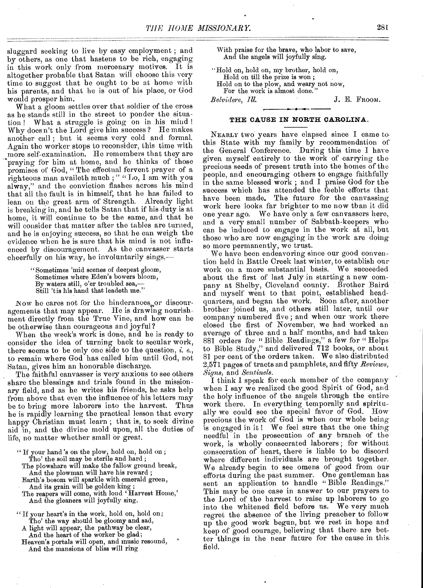sluggard seeking to live by easy employment ; and by others, as one that hastens to be rich, engaging in this work only from mercenary motives. It is altogether probable that Satan will choose this very time to suggest that he ought to be at home with his parents, and that he is out of his place, or God would prosper him.

What a gloom settles over that soldier of the cross as he stands still in the street to ponder the situation ! What a struggle is going on in his mind ! Why does n't the Lord give him success ? He makes another call ; but it seems very cold and formal. Again the worker stops to reconsider, this time with more self-examination. He remembers that they are praying for him at home, and he thinks of those promises of God, "The effectual fervent prayer of a righteous man availeth much; " "Lo, I am with you alway," and the conviction flashes across his mind that all the fault is in himself, that he has failed to lean on the great arm of Strength. Already light is breaking in, and he tells Satan that if his duty is at home, it will continue to be the same, and that he will consider that matter after the tables are turned, and he is enjoying success, so that he can weigh the evidence when he is sure that his mind is not influenced by discouragement. As the canvasser starts cheerfully on his way, he involuntarily sings,—

> "Sometimes 'mid scenes of deepest gloom, Sometimes where Eden's bowers bloom, By waters still, o'er troubled sea,— Still 't is his hand that leadeth me."

Now he cares not for the hinderances<sub>so</sub> discouragements that may appear. He is drawing nourishment directly from the True Vine, and how can he be otherwise than courageous and joyful?

When the week's work is done, and he is ready to consider the idea of turning back to secular work, there seems to be only one side to the question, *i. e.,*  to remain where God has called him until God, not Satan, gives him an honorable discharge.

The faithful canvasser is very anxious to see others share the blessings and trials found in the missionary field, and as he writes his friends, he asks help from above that even the influence of his letters may be to bring more laborers into the harvest. Thus he is rapidly learning the practical lesson that every happy Christian must learn ; that is, to seek divine aid in, and the divine mold upon, all the duties of life, no matter whether small or great.

" If your hand's on the plow, hold on, hold on ; Tho' the soil may be sterile and hard ; The plowshare will make the fallow ground break, And the plowman will have his reward ; Earth's bosom will sparkle with emerald green,

And its grain will be golden king;

The reapers will come, with loud 'Harvest Home,' And the gleaners will joyfully sing.

"If your heart's in the work, hold on, hold on; Tho' the way should be gloomy and sad,

A light will appear, the pathway be clear, And the heart of the worker be glad;

Heaven's portals will open, and music resound, And the mansions of bliss will ring

With praise for the brave, who labor to save, And the angels will joyfully sing.

"Hold on, hold on, my brother, hold on, Hold on till the prize is won ; Hold on to the plow, and weary not now, For the work is almost done.' *Belvidere, Ill. J. E. FROOM.* 

**THE CAUSE IN NORTH CAROLINA.** 

NEARLY two years have elapsed since I came to• this State with my family by recommendation of the General Conference. During this time I have given myself entirely to the work of carrying the precious seeds of present truth into the homes of the people, and encouraging others to engage faithfully in the same blessed work ; and I praise God for the success which has attended the feeble efforts that have been made. The future for the canvassing work here looks far brighter to me now than it did one year ago. We have only a few canvassers here, and a very small number of Sabbath-keepers who can be induced to engage in the work at all, but those who are now engaging in the work are doing so more permanently, we trust.

We have been endeavoring since our good convention held in Battle Creek last winter, to establish our work on a more substantial basis. about the first of last July in starting a new company at Shelby, Cleveland county. Brother Baird and myself went to that point, established headquarters, and began the work. Soon after, another brother joined us, and others still later, until our company numbered five ; and when our work there closed the first of November, we had worked an average of three and a half months, and had taken 881 orders for " Bible Readings," a few for " Helps to Bible. Study," and delivered 712 books, or about 81 per cent of the orders taken. We also distributed 2,571 pages of tracts and pamphlets, and fifty *Reviews, Signs,* and *Sentinels.* 

I think 1 speak for each member of the company when I say we realized the good Spirit of God, and the holy influence of the angels through the entire work there. In everything temporally and spiritually we could see the special favor of God. How precious the work of God is when our whole being is engaged in it! We feel sure that the one thing needful in the prosecution of any branch of the work, is wholly consecrated laborers ; for without consecration of heart, there is liable to be discord where different individuals are brought together. We already begin to see omens of good from our efforts during the past summer. One gentleman has sent an application to handle " Bible Readings." This may be one case in answer to our prayers to. the Lord of the harvest to raise up laborers to go into the Whitened field before us. We very much regret the absence of the living preacher to follow up the good work begun, but we rest in hope and keep of good courage, believing that there- are better things in the near future for the cause in this, field.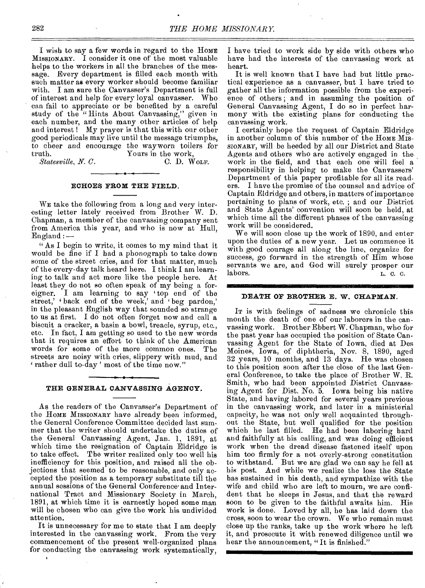I wish to say a few words in regard to the HOME MISSIONARY. I consider it one of the most valuable helps to the workers in all the branches of the message. Every department is filled each month with such matter as every worker should become familiar with. I am sure the Canvasser's Department is full of interest and help for every loyal canvasser. Who can fail to appreciate or be benefited by a careful study of the "Hints About Canvassing," given in each number, and the many other articles of help and interest ! My prayer is that this with our other good periodicals may live until the message triumphs, to cheer and encourage the wayworn toilers for truth. Yours in the work,<br>Statesville, N. C. Note. C. D. Wolf.

*Statesville, N. C.* 

#### **ECHOES FROM THE FIELD.**

WE take the following from a long and very interesting letter lately received from Brother W. D. Chapman, a member of the canvassing company sent from America this year, and who is now at Hull, England :—

" As I begin to write, it comes to my mind that it would be fine if I had a phonograph to take down some of the street cries, and for that matter, much of the every-day talk heard here. I think I am learning to talk and act more like the people here. At least they do not so often speak of my being a foreigner. I am learning to say 'top end of the street,' 'back end of the week,' and 'beg pardon,' in the pleasant English way that sounded so strange to us at first. I do not often forget now and call a biscuit a cracker, a basin a bowl, treacle, syrup, etc., etc. In fact, I am getting so used to the new words that it requires an effort to think of the American words for some of the more common ones. The streets are noisy with cries, slippery with mud, and rather dull to-day' most of the time now."

#### **THE GENERAL CANVASSING AGENCY.**

As the readers of the Canvasser's Department of the HOME MISSIONARY have already been informed, the General Conference Committee decided last summer that the writer should undertake the duties of the General Canvassing Agent, Jan. 1, 1891, at which time the resignation of Captain Eldridge is to take effect. The writer realized only too well his inefficiency for this position, and raised all the objections that seemed to be reasonable, and only accepted the position as a temporary substitute till the annual sessions of the General Conference and International Tract and Missionary Society in March, 1891, at which time it is earnestly hoped some man will be chosen who can give the work his undivided attention.

It is unnecessary for me to state that I am deeply interested in the canvassing work. From the very commencement of the present well-organized plans for conducting the canvassing work systematically,

I have tried to work side by side with others who have had the interests of the canvassing work at heart.

It is well known that I have had but little practical experience as a canvasser, but I have tried to gather all the information possible from the experience of others ; and in assuming the position of General Canvassing Agent, I do so in perfect harmony with the existing plans for conducting the canvassing work.

I certainly hope the request of Captain Eldridge in another column of this number of the HOME MIS-SIONARY, will be heeded by all our District and State Agents and others who are actively engaged in the work in the field, and that each one will feel a responsibility in helping to make the Canvassers' Department of this paper profitable for all its readers. I have the promise of the counsel and advice of Captain Eldridge and others, in matters of importance pertaining to plans of work, etc. ; and our District and State Agents' convention will soon be held, at which time all the different phases of the canvassing work will be considered.

We will soon close up the work of 1890, and enter upon the duties of a new year. Let us commence it with good courage all along the line, organize for success, go forward in the strength of Him whose servants we are, and God will surely prosper our labors.<br> $L_{c}$  c. c. labors.  $L. c. c.$ 

#### **DEATH OF BROTHER E. W. CHAPMAN.**

IT is with feelings of sadness we chronicle this month the death of one of our laborers in the canvassing work. Brother Ebbert W. Chapman, who for the past year has occupied the position of State Canvassing Agent for the State of Iowa, died at Des Moines, Iowa, of diphtheria, Nov. 8, 1890, aged 32 years, 10 months, and 13 days. He was chosen to this position soon after the close of the last General Conference, to take the place of Brother W. R. Smith, who had been appointed District Canvassing Agent for Dist. No. 5. Iowa being his native State, and having labored for several years previous in the canvassing work, and later in a ministerial capacity, he was not only well acquainted throughout the State, but well qualified for the position which he last filled. He had been laboring hard and faithfully at his calling, and was doing efficient work when the dread disease fastened itself upon him too firmly for a not overly-strong constitution But we are glad we can say he fell at his post. And while we realize the loss the State has sustained in his death, and sympathize with the wife and child who are left to mourn, we are confident that he sleeps in Jesus, and that the reward soon to be given to the faithful awaits him. His work is done. Loved by all, he has laid down the cross, soon to wear the crown. We who remain must close up the ranks, take up the work where he left it, and prosecute it with renewed diligence until we hear the announcement, "It is finished."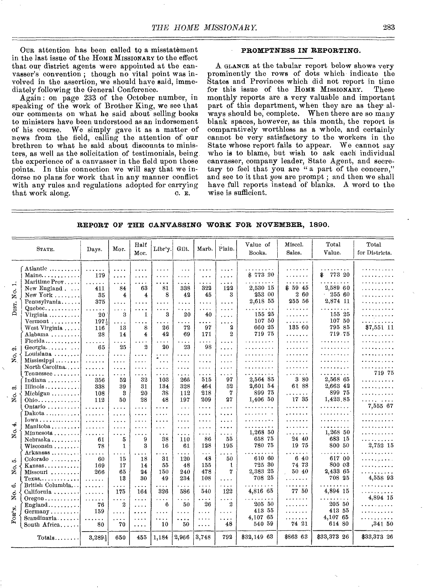Our attention has been called to a misstatement in the last issue of the HOME MISSIONARY to the effect that our district agents were appointed at the canvasser's convention ; though no vital point was involved in the assertion, we should have said, immediately following the General Conference.

Again : on page 233 of the October number, in speaking of the work of Brother King, we see that our comments on what he said about selling books to ministers have been understood as an indorsement<br>of his course. We simply gave it as a matter of We simply gave it as a matter of news from the field, calling the attention of our brethren to what he said about discounts to ministers, as well as the solicitation of testimonials, being the experience of a canvasser in the field upon those points. In this connection we will say that we indorse no plans for work that in any manner conflict with any rules and regulations adopted for carrying that work along. c. E.

#### **PROMPTNESS IN REPORTING.**

A GLANCE at the tabular report below shows very prominently the rows of dots which indicate the States and Provinces which did not report in time for this issue of the HOME MISSIONARY. These monthly reports are a very valuable and important part of this department, when they are as they always should be, complete. When there are so many blank spaces, however, as this month, the report is comparatively worthless as a whole, and certainly cannot be very satisfactory to the workers in the State whose report fails to appear. We cannot say who is to blame, but wish to ask each individual canvasser, company leader, State Agent, and secretary to feel that you are " a part of the concern," and see to it that *you* are prompt ; and then we shall have full reports instead of blanks. A word to the wise is sufficient.

**REPORT OF THE CANVASSING WORK FOR NOVEMBER, 1890.** 

|                     | STATE.                                                                     | Days.                                                                                                                                                      | Mor.                             | Half<br>Mor.                           | Libr'y.                                         | Gilt.                     | Marb.                            | Plain.                                              | Value of<br>Books.                                               | Miscel.<br>Sales.               | Total<br>Value.                  | Total<br>for Districts.       |
|---------------------|----------------------------------------------------------------------------|------------------------------------------------------------------------------------------------------------------------------------------------------------|----------------------------------|----------------------------------------|-------------------------------------------------|---------------------------|----------------------------------|-----------------------------------------------------|------------------------------------------------------------------|---------------------------------|----------------------------------|-------------------------------|
|                     | Atlantic<br>Maine                                                          | 1.1.1.1.1<br>179                                                                                                                                           | $\cdots$<br>.                    | .<br>.                                 | $\cdots$<br>.                                   | $\cdots$<br>$\cdots$      | .<br>$\ddotsc$                   | $\cdots$<br>$\cdots$                                | $\alpha$ , $\alpha$ , $\alpha$ , $\alpha$ , $\alpha$<br>\$773 20 | .<br>.                          | .<br>773 20<br>\$                | .<br>. <i>. .</i>             |
| m<br>Ó<br>Ż         | Maritime Prov<br>New England<br>New York $\ldots$                          | $\sim$ $\sim$ $\sim$<br>411<br>35                                                                                                                          | $\cdots$<br>84<br>4              | $\cdots$<br>63<br>4                    | .<br>81<br>8                                    | .<br>338<br>42            | .<br>322<br>45                   | .<br>122<br>3                                       | .<br>2,530 15<br>253 00                                          | . . <i>. .</i><br>\$5945<br>260 | .<br>2,589 60<br>$-25560$        | .<br>.<br>. <b>.</b>          |
| DIST.               | Pennsylvania<br>$Queue$ bec<br>Virginia                                    | 375<br>$\cdots$<br>20                                                                                                                                      | $\cdots$<br>$\cdots$<br>3        | .<br>.<br>1                            | $\cdots$<br>.<br>3                              | .<br>$\cdots$<br>20       | $\cdots$<br>$\cdots$<br>40       | $\cdots$<br>$\sim$ $\sim$ $\sim$ $\sim$<br>$\cdots$ | 2,618 55<br>. <i>.</i><br>155 25                                 | 255 56<br>.<br>.                | 2,874 11<br>. <i>.</i><br>155 25 | . <i>.</i><br>. <b>.</b><br>. |
|                     | $Vermont$<br>West Virginia                                                 | 197<br>116                                                                                                                                                 | $\epsilon$ is a $\epsilon$<br>13 | .<br>8                                 | .<br>26                                         | .<br>72                   | .<br>97                          | $\cdots$<br>2<br>$^{2}$                             | 107 50<br>660 25<br>719 75                                       | .<br>135 60                     | 107 50<br>795 85                 | .<br>\$7,551 11               |
| ۵ó                  | Alabama $\ldots$<br>Florida<br>Georgia                                     | 28<br>$\cdots$<br>65                                                                                                                                       | 14<br>$\cdots$<br>25             | $\overline{4}$<br>$\cdots$<br>$\Omega$ | 42<br>$\cdots$<br>20                            | 69<br>$\cdots$<br>23      | 171<br>.<br>98                   | $\cdots$<br>$\cdots$                                | . <i>.</i> .<br>.                                                | .<br>.<br>.                     | 719.75<br>.<br>.                 | .<br>.<br>.                   |
| $\dot{\circ}$<br>z. | $Louisiana \ldots \ldots$<br>$Mississippi \ldots \ldots$<br>North Carolina | $\mathbf{r}$<br>1.1.1.1.1<br>.                                                                                                                             | .<br>.<br>$\cdots$               | $\cdots$<br>$\cdots$<br>$\cdots$       | $\alpha$ , $\alpha$ , $\alpha$<br>$\ldots$<br>. | .<br>$\cdots$<br>$\cdots$ | $\cdots$<br>$\cdots$<br>$\cdots$ | $\cdots$<br>.<br>$\cdots$                           | .<br>. <b>.</b>                                                  | . <b>.</b><br>.<br>.            | .<br>. <b>.</b><br>.             | .<br>. <b>.</b><br>. <i>.</i> |
|                     | $T$ ennessee<br>Indiana $\ldots$                                           | $\cdots$<br>356                                                                                                                                            | $\cdots$<br>52                   | .<br>32                                | .<br>103                                        | .<br>266                  | .<br>515                         | $\cdots$<br>97                                      | .<br>2.564 85                                                    | .<br>3 80<br>61 88              | . <i>.</i> .<br>2,568 65         | 719 75<br>.                   |
| ന്<br>ö<br>z        | Illinois<br>Michigan $\ldots \ldots$<br>$Onio$                             | 338<br>108<br>112                                                                                                                                          | 39<br>3<br>50                    | 31<br>20<br>28                         | 134<br>38<br>48                                 | 328<br>112<br>197         | 464<br>218<br>209                | 52<br>7<br>27                                       | 2,601 54<br>899 75<br>1,406 50                                   | .<br>17 35                      | 2,663 42<br>899 75<br>1,423.85   | .<br>.<br>.                   |
|                     | Ontario<br>$Dakota \ldots \ldots \ldots$<br>$Iowa \ldots \ldots \ldots$    | 1.1.1.1.1<br>.                                                                                                                                             | $\cdots$<br>$\cdots$             | $\cdots$<br>$\cdots$                   | $\cdots$<br>.                                   | $\sim$ $\sim$ $\sim$<br>. | $\cdots$<br>$\ldots$ .           | $\cdots$<br>$\cdots$                                | .<br>.                                                           | .<br>.<br>.                     | .<br>.<br>.                      | 7,555 67<br>.<br>.            |
| ⊀<br>Ö<br>z         | Manitoba $\ldots \ldots$<br>Minnesota                                      | $\cdots$<br>$\cdots$<br>$\cdots$<br>$\cdots$<br>$\cdots$<br>$\cdots$                                                                                       | $\cdots$<br>$\cdots$<br>$\cdots$ | $\cdots$<br>والمعاد<br>$\cdots$        | .<br>.<br>$\sim$ $\sim$ $\sim$                  | $\cdots$<br>$\cdots$<br>. | $\cdots$<br>$\cdots$<br>$\cdots$ | $\cdots$<br>.<br>$\cdots$                           | .<br>1,268 50                                                    | .<br>.                          | . . <b>. .</b><br>1,268 50       | .<br>. <b>.</b>               |
|                     | Nebraska<br>Wisconsin $\ldots$<br>Arkansas                                 | 61<br>78<br>1.1.1.1.1                                                                                                                                      | 5<br>$\mathbf{1}$<br>$\cdots$    | 9<br>3<br>$\cdots$                     | 38<br>16<br>$\cdots$                            | 110<br>61<br>.            | 86<br>128<br>$\cdots$            | 55<br>195<br>.                                      | 658 75<br>780 75<br>. . <i>.</i><br>$\ddot{\phantom{0}}$         | 2440<br>19 75<br>.              | 683 15<br>800 50<br>. . <i>.</i> | .<br>2,752 15<br>.            |
| သ<br>ž              | $Colorado$<br>Kansas<br>Missouri                                           | 60<br>169<br>266                                                                                                                                           | 15<br>17<br>65                   | 18<br>14<br>24                         | 31<br>55<br>150                                 | 120<br>48<br>240          | 48<br>155<br>478                 | 50<br>ι<br>7                                        | 610 60<br>725 30<br>2,383 25                                     | 640<br>74 73<br>50 40           | 617 00<br>800 03<br>2,433 65     | . <b>.</b><br>.<br>.          |
| త                   | $Texas$<br>British Columbia<br>California                                  | .<br>$\mathbf{1}$<br>1.1.1.1.1                                                                                                                             | 13<br>.<br>175                   | 30<br>.<br>164                         | 49<br>.<br>326                                  | 234<br>.<br>586           | 108<br>.<br>540                  | .<br>.<br>122                                       | 708 25<br>.<br>4,816 65                                          | .<br>.<br>77 50                 | 708 25<br>.<br>4,894 15          | 4,558 93<br>.<br>. <b>.</b>   |
| Š.<br>FOR'N.        | $O$ regon $\ldots \ldots \ldots$<br>$England \ldots \ldots \ldots$         | $\frac{1}{2} \left( \frac{1}{2} \left( \frac{1}{2} \right) \right) \left( \frac{1}{2} \left( \frac{1}{2} \right) \right) \left( \frac{1}{2} \right)$<br>76 | .<br>$\overline{2}$              | .<br>$\cdots$                          | .<br>6                                          | $\cdots$<br>50            | $\cdots$<br>26                   | $\cdots$<br>2                                       | $\cdots$<br>205 50<br>413 55                                     | .<br>.                          | . <b>.</b><br>205 50<br>413 55   | 4,894 15<br>.<br>.            |
|                     | $Germany$<br>$Scandinayla \ldots$<br>South Africa                          | 159<br>$\ldots$<br>80                                                                                                                                      | $\cdots$<br>$\cdots$<br>70       | $\cdots$<br>$\cdots$<br>.              | .<br>.<br>10                                    | .<br>.<br>50              | $\cdots$<br>$\cdots$<br>.        | $\sim$ $\sim$ $\sim$ $\sim$<br>$\cdots$<br>48       | 4.107 65<br>540 59                                               | .<br>.<br>74 21                 | 4.107 65<br>614 80               | .<br>,341 50                  |
|                     | $Totals$                                                                   | 3,289}                                                                                                                                                     | 650                              | 455                                    | 1,184                                           | 2,966                     | 3,748                            | 792                                                 | \$32,149 63                                                      | \$863 63                        | \$33,373 26                      | \$33,373 26                   |